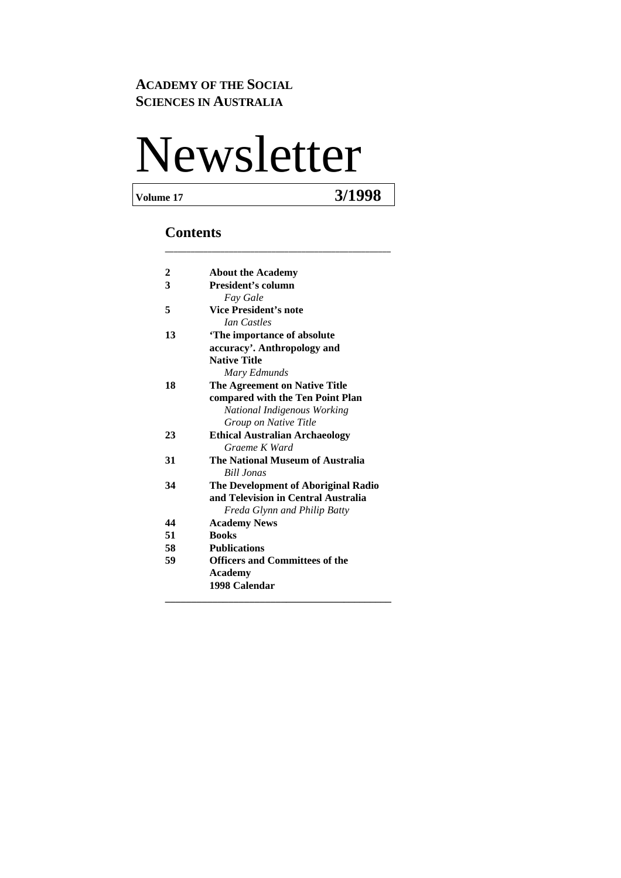#### **ACADEMY OF THE SOCIAL SCIENCES IN AUSTRALIA**

# Newsletter

**Volume 17 3/1998** 

#### **Contents**

| 2  | <b>About the Academy</b>              |
|----|---------------------------------------|
| 3  | President's column                    |
|    | <b>Fay Gale</b>                       |
| 5  | <b>Vice President's note</b>          |
|    | <b><i>Ian Castles</i></b>             |
| 13 | 'The importance of absolute           |
|    | accuracy'. Anthropology and           |
|    | <b>Native Title</b>                   |
|    | Mary Edmunds                          |
| 18 | The Agreement on Native Title         |
|    | compared with the Ten Point Plan      |
|    | National Indigenous Working           |
|    | Group on Native Title                 |
| 23 | <b>Ethical Australian Archaeology</b> |
|    | Graeme K Ward                         |
| 31 | The National Museum of Australia      |
|    | <b>Bill Jonas</b>                     |
| 34 | The Development of Aboriginal Radio   |
|    | and Television in Central Australia   |
|    | Freda Glynn and Philip Batty          |
| 44 | <b>Academy News</b>                   |
| 51 | <b>Books</b>                          |
| 58 | <b>Publications</b>                   |
| 59 | <b>Officers and Committees of the</b> |
|    | <b>Academy</b>                        |
|    | 1998 Calendar                         |
|    |                                       |

**\_\_\_\_\_\_\_\_\_\_\_\_\_\_\_\_\_\_\_\_\_\_\_\_\_\_\_\_\_\_\_\_\_\_\_\_\_\_\_\_\_\_\_\_\_\_\_\_\_\_\_\_\_**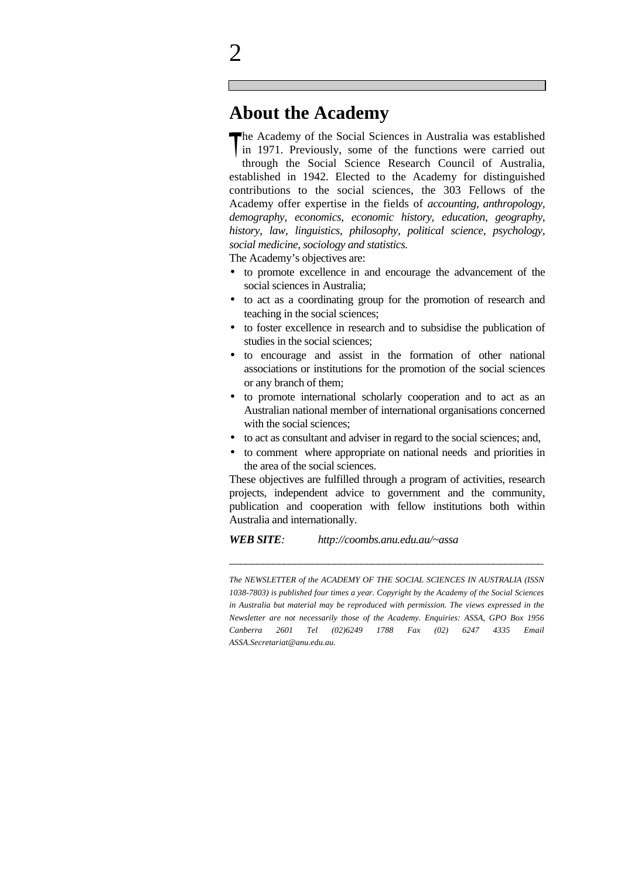### **About the Academy**

The Academy of the Social Sciences in Australia was established<br>in 1971. Previously, some of the functions were carried out in 1971. Previously, some of the functions were carried out through the Social Science Research Council of Australia, established in 1942. Elected to the Academy for distinguished contributions to the social sciences, the 303 Fellows of the Academy offer expertise in the fields of *accounting, anthropology, demography, economics, economic history, education, geography, history, law, linguistics, philosophy, political science, psychology, social medicine, sociology and statistics.*

The Academy's objectives are:

- to promote excellence in and encourage the advancement of the social sciences in Australia;
- to act as a coordinating group for the promotion of research and teaching in the social sciences;
- to foster excellence in research and to subsidise the publication of studies in the social sciences;
- to encourage and assist in the formation of other national associations or institutions for the promotion of the social sciences or any branch of them;
- to promote international scholarly cooperation and to act as an Australian national member of international organisations concerned with the social sciences;
- to act as consultant and adviser in regard to the social sciences; and,
- to comment where appropriate on national needs and priorities in the area of the social sciences.

These objectives are fulfilled through a program of activities, research projects, independent advice to government and the community, publication and cooperation with fellow institutions both within Australia and internationally.

*WEB SITE: http://coombs.anu.edu.au/~assa*

*The NEWSLETTER of the ACADEMY OF THE SOCIAL SCIENCES IN AUSTRALIA (ISSN 1038-7803) is published four times a year. Copyright by the Academy of the Social Sciences in Australia but material may be reproduced with permission. The views expressed in the Newsletter are not necessarily those of the Academy. Enquiries: ASSA, GPO Box 1956 Canberra 2601 Tel (02)6249 1788 Fax (02) 6247 4335 Email ASSA.Secretariat@anu.edu.au.*

\_\_\_\_\_\_\_\_\_\_\_\_\_\_\_\_\_\_\_\_\_\_\_\_\_\_\_\_\_\_\_\_\_\_\_\_\_\_\_\_\_\_\_\_\_\_\_\_\_\_\_\_\_\_\_\_\_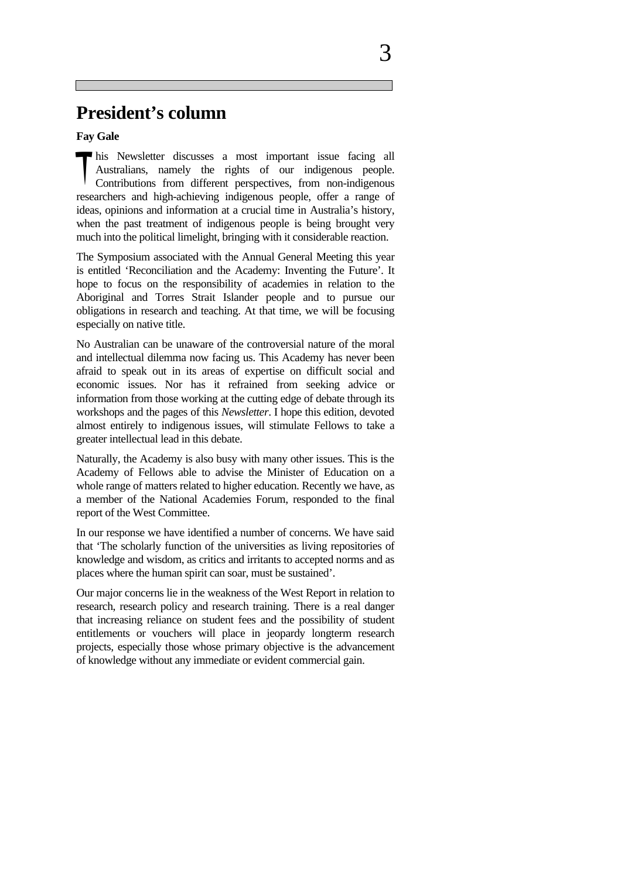### **President's column**

**Fay Gale**

his Newsletter discusses a most important issue facing all Australians, namely the rights of our indigenous people.<br>Contributions from different perspectives from non-indigenous Australians, namely the rights of our indigenous people. Contributions from different perspectives, from non-indigenous researchers and high-achieving indigenous people, offer a range of ideas, opinions and information at a crucial time in Australia's history, when the past treatment of indigenous people is being brought very much into the political limelight, bringing with it considerable reaction.

The Symposium associated with the Annual General Meeting this year is entitled 'Reconciliation and the Academy: Inventing the Future'. It hope to focus on the responsibility of academies in relation to the Aboriginal and Torres Strait Islander people and to pursue our obligations in research and teaching. At that time, we will be focusing especially on native title.

No Australian can be unaware of the controversial nature of the moral and intellectual dilemma now facing us. This Academy has never been afraid to speak out in its areas of expertise on difficult social and economic issues. Nor has it refrained from seeking advice or information from those working at the cutting edge of debate through its workshops and the pages of this *Newsletter*. I hope this edition, devoted almost entirely to indigenous issues, will stimulate Fellows to take a greater intellectual lead in this debate.

Naturally, the Academy is also busy with many other issues. This is the Academy of Fellows able to advise the Minister of Education on a whole range of matters related to higher education. Recently we have, as a member of the National Academies Forum, responded to the final report of the West Committee.

In our response we have identified a number of concerns. We have said that 'The scholarly function of the universities as living repositories of knowledge and wisdom, as critics and irritants to accepted norms and as places where the human spirit can soar, must be sustained'.

Our major concerns lie in the weakness of the West Report in relation to research, research policy and research training. There is a real danger that increasing reliance on student fees and the possibility of student entitlements or vouchers will place in jeopardy longterm research projects, especially those whose primary objective is the advancement of knowledge without any immediate or evident commercial gain.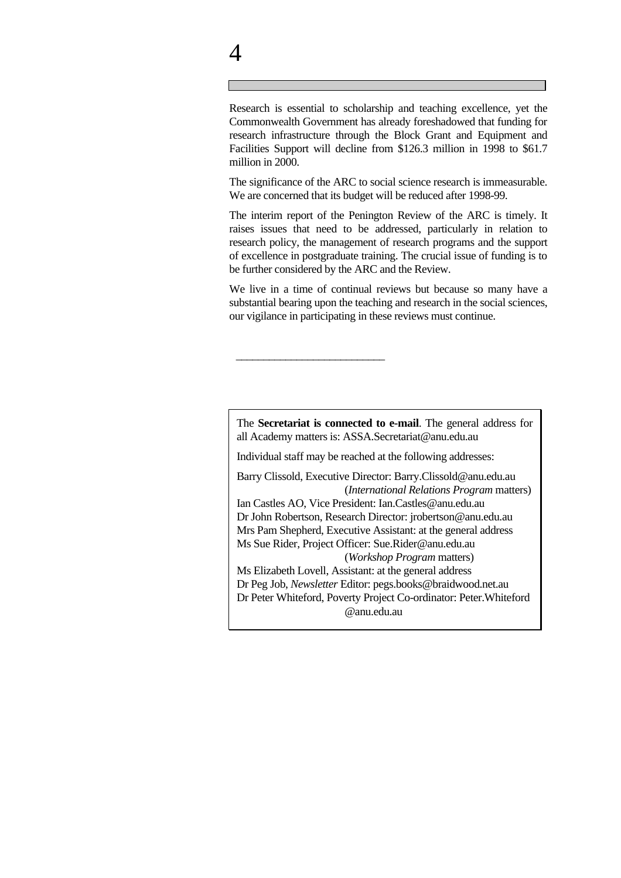Research is essential to scholarship and teaching excellence, yet the Commonwealth Government has already foreshadowed that funding for research infrastructure through the Block Grant and Equipment and Facilities Support will decline from \$126.3 million in 1998 to \$61.7 million in 2000.

The significance of the ARC to social science research is immeasurable. We are concerned that its budget will be reduced after 1998-99.

The interim report of the Penington Review of the ARC is timely. It raises issues that need to be addressed, particularly in relation to research policy, the management of research programs and the support of excellence in postgraduate training. The crucial issue of funding is to be further considered by the ARC and the Review.

We live in a time of continual reviews but because so many have a substantial bearing upon the teaching and research in the social sciences, our vigilance in participating in these reviews must continue.

The **Secretariat is connected to e-mail**. The general address for all Academy matters is: ASSA.Secretariat@anu.edu.au

Individual staff may be reached at the following addresses:

\_\_\_\_\_\_\_\_\_\_\_\_\_\_\_\_\_\_\_\_\_\_\_\_\_\_\_

Barry Clissold, Executive Director: Barry.Clissold@anu.edu.au (*International Relations Program* matters)

Ian Castles AO, Vice President: Ian.Castles@anu.edu.au Dr John Robertson, Research Director: jrobertson@anu.edu.au Mrs Pam Shepherd, Executive Assistant: at the general address Ms Sue Rider, Project Officer: Sue.Rider@anu.edu.au (*Workshop Program* matters)

Ms Elizabeth Lovell, Assistant: at the general address Dr Peg Job, *Newsletter* Editor: pegs.books@braidwood.net.au Dr Peter Whiteford, Poverty Project Co-ordinator: Peter.Whiteford @anu.edu.au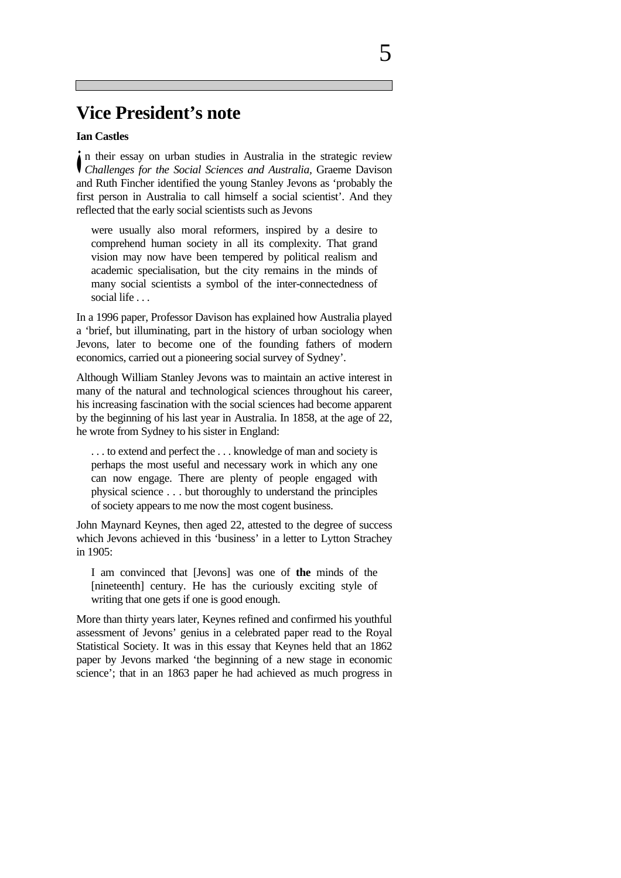### **Vice President's note**

#### **Ian Castles**

n their essay on urban studies in Australia in the strategic review *i* in their essay on urban studies in Australia in the strategic review *Challenges for the Social Sciences and Australia*, Graeme Davison and Ruth Fincher identified the young Stanley Jevons as 'probably the first person in Australia to call himself a social scientist'. And they reflected that the early social scientists such as Jevons

were usually also moral reformers, inspired by a desire to comprehend human society in all its complexity. That grand vision may now have been tempered by political realism and academic specialisation, but the city remains in the minds of many social scientists a symbol of the inter-connectedness of social life . . .

In a 1996 paper, Professor Davison has explained how Australia played a 'brief, but illuminating, part in the history of urban sociology when Jevons, later to become one of the founding fathers of modern economics, carried out a pioneering social survey of Sydney'.

Although William Stanley Jevons was to maintain an active interest in many of the natural and technological sciences throughout his career, his increasing fascination with the social sciences had become apparent by the beginning of his last year in Australia. In 1858, at the age of 22, he wrote from Sydney to his sister in England:

. . . to extend and perfect the . . . knowledge of man and society is perhaps the most useful and necessary work in which any one can now engage. There are plenty of people engaged with physical science . . . but thoroughly to understand the principles of society appears to me now the most cogent business.

John Maynard Keynes, then aged 22, attested to the degree of success which Jevons achieved in this 'business' in a letter to Lytton Strachey in 1905:

I am convinced that [Jevons] was one of **the** minds of the [nineteenth] century. He has the curiously exciting style of writing that one gets if one is good enough.

More than thirty years later, Keynes refined and confirmed his youthful assessment of Jevons' genius in a celebrated paper read to the Royal Statistical Society. It was in this essay that Keynes held that an 1862 paper by Jevons marked 'the beginning of a new stage in economic science'; that in an 1863 paper he had achieved as much progress in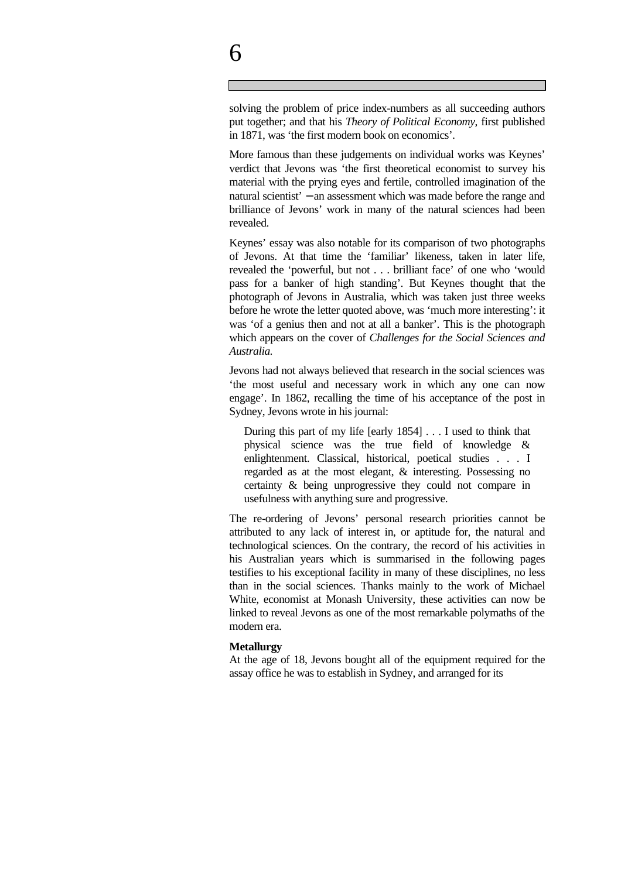solving the problem of price index-numbers as all succeeding authors put together; and that his *Theory of Political Economy*, first published in 1871, was 'the first modern book on economics'.

More famous than these judgements on individual works was Keynes' verdict that Jevons was 'the first theoretical economist to survey his material with the prying eyes and fertile, controlled imagination of the natural scientist' − an assessment which was made before the range and brilliance of Jevons' work in many of the natural sciences had been revealed.

Keynes' essay was also notable for its comparison of two photographs of Jevons. At that time the 'familiar' likeness, taken in later life, revealed the 'powerful, but not . . . brilliant face' of one who 'would pass for a banker of high standing'. But Keynes thought that the photograph of Jevons in Australia, which was taken just three weeks before he wrote the letter quoted above, was 'much more interesting': it was 'of a genius then and not at all a banker'. This is the photograph which appears on the cover of *Challenges for the Social Sciences and Australia.* 

Jevons had not always believed that research in the social sciences was 'the most useful and necessary work in which any one can now engage'. In 1862, recalling the time of his acceptance of the post in Sydney, Jevons wrote in his journal:

During this part of my life [early 1854] . . . I used to think that physical science was the true field of knowledge & enlightenment. Classical, historical, poetical studies . . . I regarded as at the most elegant, & interesting. Possessing no certainty & being unprogressive they could not compare in usefulness with anything sure and progressive.

The re-ordering of Jevons' personal research priorities cannot be attributed to any lack of interest in, or aptitude for, the natural and technological sciences. On the contrary, the record of his activities in his Australian years which is summarised in the following pages testifies to his exceptional facility in many of these disciplines, no less than in the social sciences. Thanks mainly to the work of Michael White, economist at Monash University, these activities can now be linked to reveal Jevons as one of the most remarkable polymaths of the modern era.

#### **Metallurgy**

At the age of 18, Jevons bought all of the equipment required for the assay office he was to establish in Sydney, and arranged for its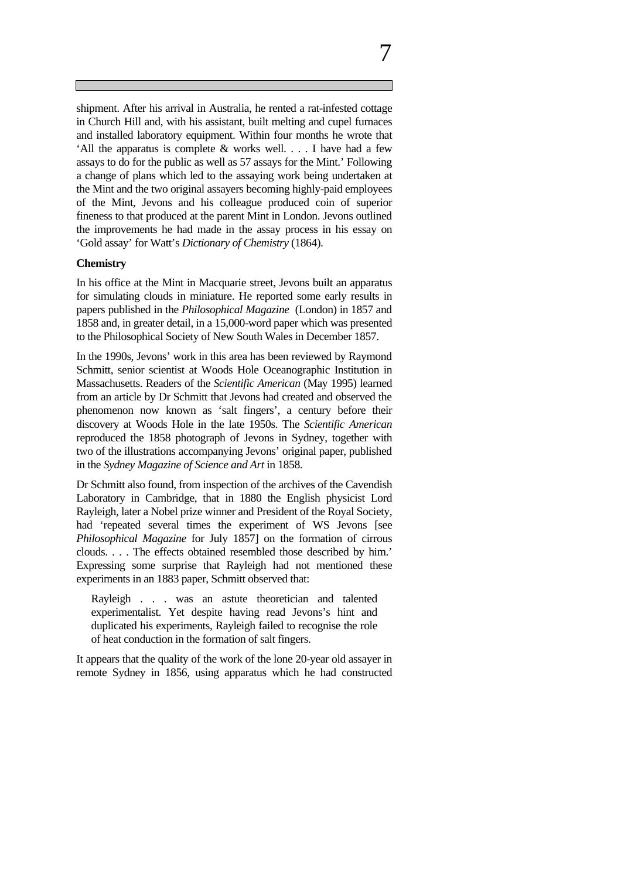shipment. After his arrival in Australia, he rented a rat-infested cottage in Church Hill and, with his assistant, built melting and cupel furnaces and installed laboratory equipment. Within four months he wrote that 'All the apparatus is complete  $\&$  works well. . . . I have had a few assays to do for the public as well as 57 assays for the Mint.' Following a change of plans which led to the assaying work being undertaken at the Mint and the two original assayers becoming highly-paid employees of the Mint, Jevons and his colleague produced coin of superior fineness to that produced at the parent Mint in London. Jevons outlined the improvements he had made in the assay process in his essay on 'Gold assay' for Watt's *Dictionary of Chemistry* (1864).

#### **Chemistry**

In his office at the Mint in Macquarie street, Jevons built an apparatus for simulating clouds in miniature. He reported some early results in papers published in the *Philosophical Magazine* (London) in 1857 and 1858 and, in greater detail, in a 15,000-word paper which was presented to the Philosophical Society of New South Wales in December 1857.

In the 1990s, Jevons' work in this area has been reviewed by Raymond Schmitt, senior scientist at Woods Hole Oceanographic Institution in Massachusetts. Readers of the *Scientific American* (May 1995) learned from an article by Dr Schmitt that Jevons had created and observed the phenomenon now known as 'salt fingers', a century before their discovery at Woods Hole in the late 1950s. The *Scientific American* reproduced the 1858 photograph of Jevons in Sydney, together with two of the illustrations accompanying Jevons' original paper, published in the *Sydney Magazine of Science and Art* in 1858.

Dr Schmitt also found, from inspection of the archives of the Cavendish Laboratory in Cambridge, that in 1880 the English physicist Lord Rayleigh, later a Nobel prize winner and President of the Royal Society, had 'repeated several times the experiment of WS Jevons [see *Philosophical Magazine* for July 1857] on the formation of cirrous clouds. . . . The effects obtained resembled those described by him.' Expressing some surprise that Rayleigh had not mentioned these experiments in an 1883 paper, Schmitt observed that:

Rayleigh . . . was an astute theoretician and talented experimentalist. Yet despite having read Jevons's hint and duplicated his experiments, Rayleigh failed to recognise the role of heat conduction in the formation of salt fingers.

It appears that the quality of the work of the lone 20-year old assayer in remote Sydney in 1856, using apparatus which he had constructed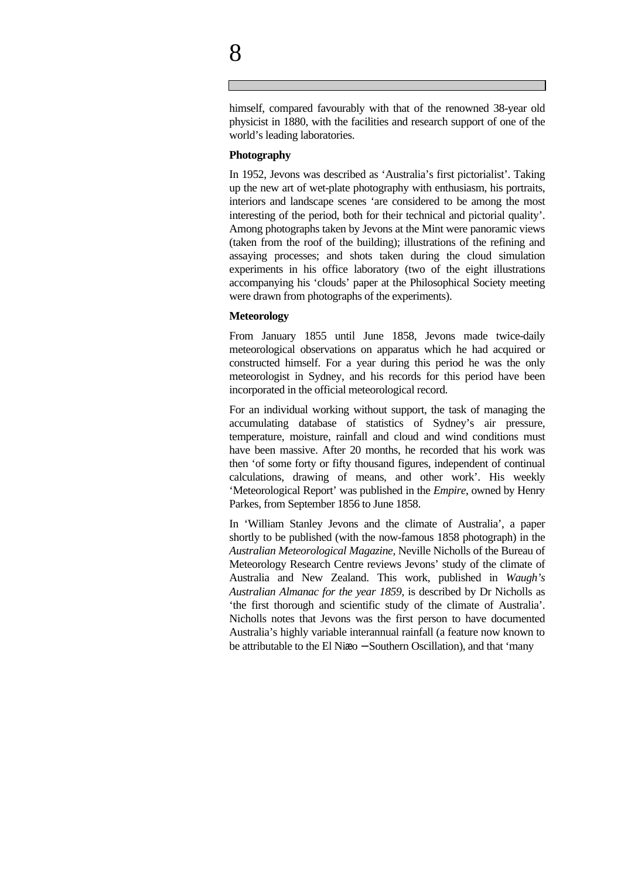himself, compared favourably with that of the renowned 38-year old physicist in 1880, with the facilities and research support of one of the world's leading laboratories.

#### **Photography**

In 1952, Jevons was described as 'Australia's first pictorialist'. Taking up the new art of wet-plate photography with enthusiasm, his portraits, interiors and landscape scenes 'are considered to be among the most interesting of the period, both for their technical and pictorial quality'. Among photographs taken by Jevons at the Mint were panoramic views (taken from the roof of the building); illustrations of the refining and assaying processes; and shots taken during the cloud simulation experiments in his office laboratory (two of the eight illustrations accompanying his 'clouds' paper at the Philosophical Society meeting were drawn from photographs of the experiments).

#### **Meteorology**

From January 1855 until June 1858, Jevons made twice-daily meteorological observations on apparatus which he had acquired or constructed himself. For a year during this period he was the only meteorologist in Sydney, and his records for this period have been incorporated in the official meteorological record.

For an individual working without support, the task of managing the accumulating database of statistics of Sydney's air pressure, temperature, moisture, rainfall and cloud and wind conditions must have been massive. After 20 months, he recorded that his work was then 'of some forty or fifty thousand figures, independent of continual calculations, drawing of means, and other work'. His weekly 'Meteorological Report' was published in the *Empire*, owned by Henry Parkes, from September 1856 to June 1858.

In 'William Stanley Jevons and the climate of Australia', a paper shortly to be published (with the now-famous 1858 photograph) in the *Australian Meteorological Magazine,* Neville Nicholls of the Bureau of Meteorology Research Centre reviews Jevons' study of the climate of Australia and New Zealand. This work, published in *Waugh's Australian Almanac for the year 1859,* is described by Dr Nicholls as 'the first thorough and scientific study of the climate of Australia'. Nicholls notes that Jevons was the first person to have documented Australia's highly variable interannual rainfall (a feature now known to be attributable to the El Niæo − Southern Oscillation), and that 'many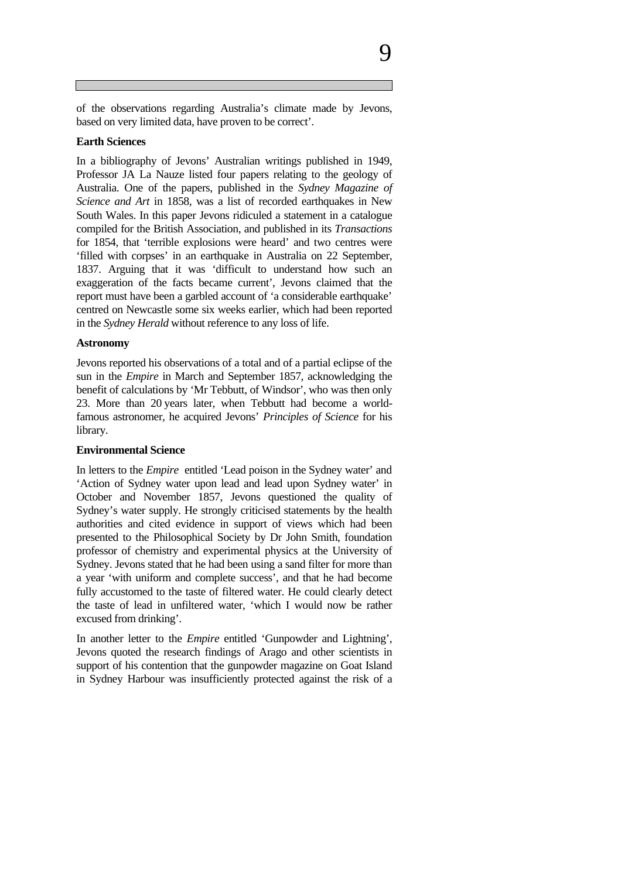of the observations regarding Australia's climate made by Jevons, based on very limited data, have proven to be correct'.

#### **Earth Sciences**

In a bibliography of Jevons' Australian writings published in 1949, Professor JA La Nauze listed four papers relating to the geology of Australia. One of the papers, published in the *Sydney Magazine of Science and Art* in 1858, was a list of recorded earthquakes in New South Wales. In this paper Jevons ridiculed a statement in a catalogue compiled for the British Association, and published in its *Transactions* for 1854, that 'terrible explosions were heard' and two centres were 'filled with corpses' in an earthquake in Australia on 22 September, 1837. Arguing that it was 'difficult to understand how such an exaggeration of the facts became current', Jevons claimed that the report must have been a garbled account of 'a considerable earthquake' centred on Newcastle some six weeks earlier, which had been reported in the *Sydney Herald* without reference to any loss of life.

#### **Astronomy**

Jevons reported his observations of a total and of a partial eclipse of the sun in the *Empire* in March and September 1857, acknowledging the benefit of calculations by 'Mr Tebbutt, of Windsor', who was then only 23. More than 20 years later, when Tebbutt had become a worldfamous astronomer, he acquired Jevons' *Principles of Science* for his library.

#### **Environmental Science**

In letters to the *Empire* entitled 'Lead poison in the Sydney water' and 'Action of Sydney water upon lead and lead upon Sydney water' in October and November 1857, Jevons questioned the quality of Sydney's water supply. He strongly criticised statements by the health authorities and cited evidence in support of views which had been presented to the Philosophical Society by Dr John Smith, foundation professor of chemistry and experimental physics at the University of Sydney. Jevons stated that he had been using a sand filter for more than a year 'with uniform and complete success', and that he had become fully accustomed to the taste of filtered water. He could clearly detect the taste of lead in unfiltered water, 'which I would now be rather excused from drinking'.

In another letter to the *Empire* entitled 'Gunpowder and Lightning', Jevons quoted the research findings of Arago and other scientists in support of his contention that the gunpowder magazine on Goat Island in Sydney Harbour was insufficiently protected against the risk of a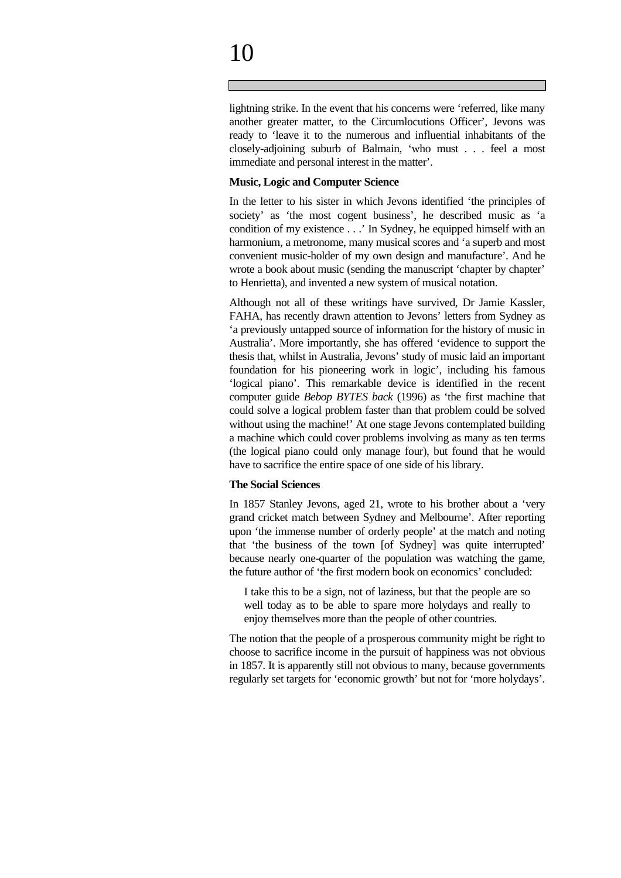# 10

lightning strike. In the event that his concerns were 'referred, like many another greater matter, to the Circumlocutions Officer', Jevons was ready to 'leave it to the numerous and influential inhabitants of the closely-adjoining suburb of Balmain, 'who must . . . feel a most immediate and personal interest in the matter'.

#### **Music, Logic and Computer Science**

In the letter to his sister in which Jevons identified 'the principles of society' as 'the most cogent business', he described music as 'a condition of my existence . . .' In Sydney, he equipped himself with an harmonium, a metronome, many musical scores and 'a superb and most convenient music-holder of my own design and manufacture'. And he wrote a book about music (sending the manuscript 'chapter by chapter' to Henrietta), and invented a new system of musical notation.

Although not all of these writings have survived, Dr Jamie Kassler, FAHA, has recently drawn attention to Jevons' letters from Sydney as 'a previously untapped source of information for the history of music in Australia'. More importantly, she has offered 'evidence to support the thesis that, whilst in Australia, Jevons' study of music laid an important foundation for his pioneering work in logic', including his famous 'logical piano'. This remarkable device is identified in the recent computer guide *Bebop BYTES back* (1996) as 'the first machine that could solve a logical problem faster than that problem could be solved without using the machine!' At one stage Jevons contemplated building a machine which could cover problems involving as many as ten terms (the logical piano could only manage four), but found that he would have to sacrifice the entire space of one side of his library.

#### **The Social Sciences**

In 1857 Stanley Jevons, aged 21, wrote to his brother about a 'very grand cricket match between Sydney and Melbourne'. After reporting upon 'the immense number of orderly people' at the match and noting that 'the business of the town [of Sydney] was quite interrupted' because nearly one-quarter of the population was watching the game, the future author of 'the first modern book on economics' concluded:

I take this to be a sign, not of laziness, but that the people are so well today as to be able to spare more holydays and really to enjoy themselves more than the people of other countries.

The notion that the people of a prosperous community might be right to choose to sacrifice income in the pursuit of happiness was not obvious in 1857. It is apparently still not obvious to many, because governments regularly set targets for 'economic growth' but not for 'more holydays'.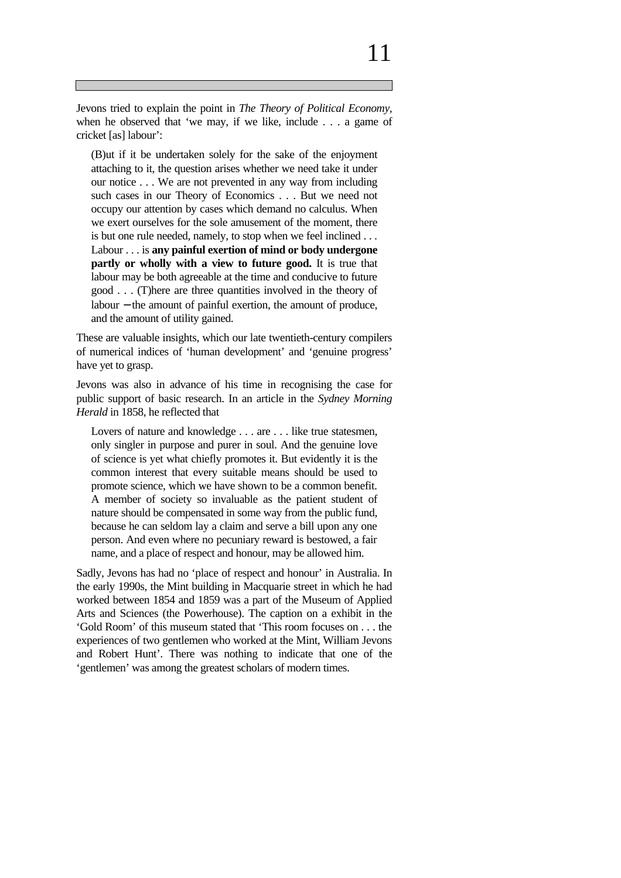# 11

Jevons tried to explain the point in *The Theory of Political Economy,* when he observed that 'we may, if we like, include . . . a game of cricket [as] labour':

(B)ut if it be undertaken solely for the sake of the enjoyment attaching to it, the question arises whether we need take it under our notice . . . We are not prevented in any way from including such cases in our Theory of Economics . . . But we need not occupy our attention by cases which demand no calculus. When we exert ourselves for the sole amusement of the moment, there is but one rule needed, namely, to stop when we feel inclined . . . Labour . . . is **any painful exertion of mind or body undergone partly or wholly with a view to future good.** It is true that labour may be both agreeable at the time and conducive to future good . . . (T)here are three quantities involved in the theory of labour − the amount of painful exertion, the amount of produce, and the amount of utility gained.

These are valuable insights, which our late twentieth-century compilers of numerical indices of 'human development' and 'genuine progress' have yet to grasp.

Jevons was also in advance of his time in recognising the case for public support of basic research. In an article in the *Sydney Morning Herald* in 1858, he reflected that

Lovers of nature and knowledge . . . are . . . like true statesmen, only singler in purpose and purer in soul. And the genuine love of science is yet what chiefly promotes it. But evidently it is the common interest that every suitable means should be used to promote science, which we have shown to be a common benefit. A member of society so invaluable as the patient student of nature should be compensated in some way from the public fund, because he can seldom lay a claim and serve a bill upon any one person. And even where no pecuniary reward is bestowed, a fair name, and a place of respect and honour, may be allowed him.

Sadly, Jevons has had no 'place of respect and honour' in Australia. In the early 1990s, the Mint building in Macquarie street in which he had worked between 1854 and 1859 was a part of the Museum of Applied Arts and Sciences (the Powerhouse). The caption on a exhibit in the 'Gold Room' of this museum stated that 'This room focuses on . . . the experiences of two gentlemen who worked at the Mint, William Jevons and Robert Hunt'. There was nothing to indicate that one of the 'gentlemen' was among the greatest scholars of modern times.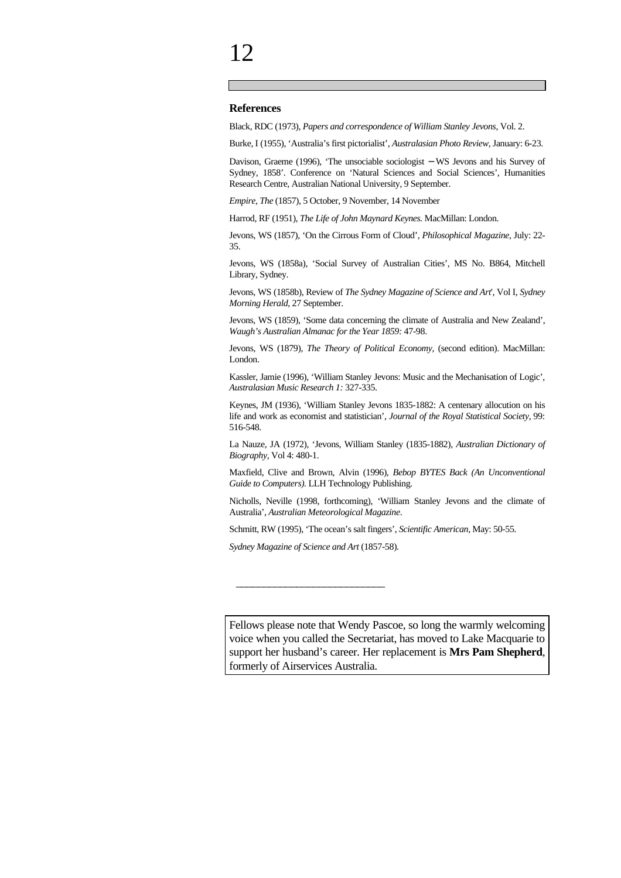#### **References**

Black, RDC (1973), *Papers and correspondence of William Stanley Jevons*, Vol. 2.

Burke, I (1955), 'Australia's first pictorialist', *Australasian Photo Review,* January: 6-23.

Davison, Graeme (1996), 'The unsociable sociologist − WS Jevons and his Survey of Sydney, 1858'. Conference on 'Natural Sciences and Social Sciences', Humanities Research Centre, Australian National University, 9 September.

*Empire, The* (1857), 5 October, 9 November, 14 November

Harrod, RF (1951), *The Life of John Maynard Keynes.* MacMillan: London.

Jevons, WS (1857), 'On the Cirrous Form of Cloud', *Philosophical Magazine*, July: 22- 35.

Jevons, WS (1858a), 'Social Survey of Australian Cities', MS No. B864, Mitchell Library, Sydney.

Jevons, WS (1858b), Review of *The Sydney Magazine of Science and Art*', Vol I, *Sydney Morning Herald*, 27 September.

Jevons, WS (1859), 'Some data concerning the climate of Australia and New Zealand', *Waugh's Australian Almanac for the Year 1859:* 47-98.

Jevons, WS (1879), *The Theory of Political Economy,* (second edition). MacMillan: London.

Kassler, Jamie (1996), 'William Stanley Jevons: Music and the Mechanisation of Logic', *Australasian Music Research 1:* 327-335.

Keynes, JM (1936), 'William Stanley Jevons 1835-1882: A centenary allocution on his life and work as economist and statistician', *Journal of the Royal Statistical Society,* 99: 516-548.

La Nauze, JA (1972), 'Jevons, William Stanley (1835-1882), *Australian Dictionary of Biography*, Vol 4: 480-1.

Maxfield, Clive and Brown, Alvin (1996), *Bebop BYTES Back (An Unconventional Guide to Computers).* LLH Technology Publishing.

Nicholls, Neville (1998, forthcoming), 'William Stanley Jevons and the climate of Australia', *Australian Meteorological Magazine*.

Schmitt, RW (1995), 'The ocean's salt fingers', *Scientific American*, May: 50-55.

*Sydney Magazine of Science and Art* (1857-58).

\_\_\_\_\_\_\_\_\_\_\_\_\_\_\_\_\_\_\_\_\_\_\_\_\_\_\_

Fellows please note that Wendy Pascoe, so long the warmly welcoming voice when you called the Secretariat, has moved to Lake Macquarie to support her husband's career. Her replacement is **Mrs Pam Shepherd**, formerly of Airservices Australia.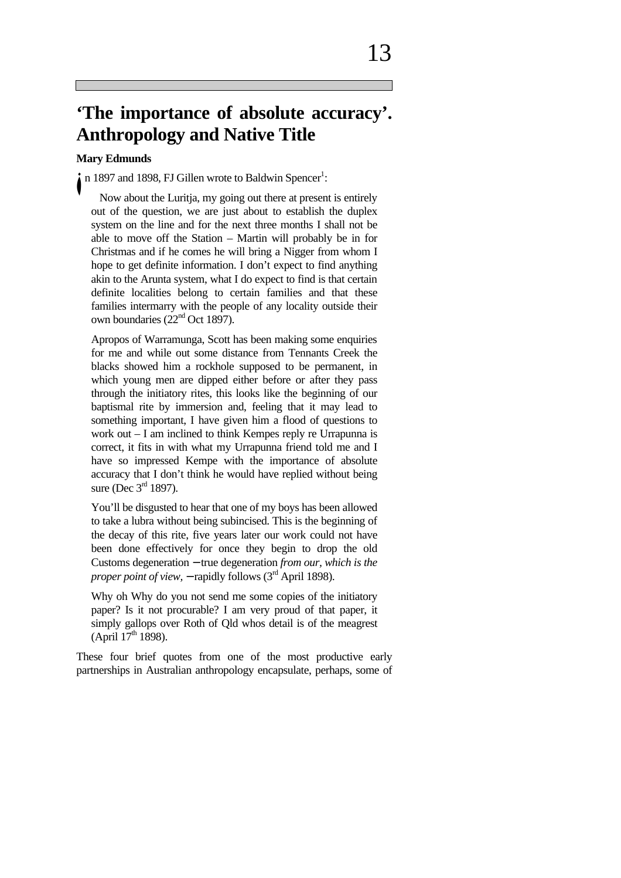## **'The importance of absolute accuracy'. Anthropology and Native Title**

#### **Mary Edmunds**

n 1897 and 1898, FJ Gillen wrote to Baldwin Spencer<sup>1</sup>: İ

Now about the Luritja, my going out there at present is entirely out of the question, we are just about to establish the duplex system on the line and for the next three months I shall not be able to move off the Station – Martin will probably be in for Christmas and if he comes he will bring a Nigger from whom I hope to get definite information. I don't expect to find anything akin to the Arunta system, what I do expect to find is that certain definite localities belong to certain families and that these families intermarry with the people of any locality outside their own boundaries (22<sup>nd</sup> Oct 1897).

Apropos of Warramunga, Scott has been making some enquiries for me and while out some distance from Tennants Creek the blacks showed him a rockhole supposed to be permanent, in which young men are dipped either before or after they pass through the initiatory rites, this looks like the beginning of our baptismal rite by immersion and, feeling that it may lead to something important, I have given him a flood of questions to work out – I am inclined to think Kempes reply re Urrapunna is correct, it fits in with what my Urrapunna friend told me and I have so impressed Kempe with the importance of absolute accuracy that I don't think he would have replied without being sure (Dec  $3<sup>rd</sup>$  1897).

You'll be disgusted to hear that one of my boys has been allowed to take a lubra without being subincised. This is the beginning of the decay of this rite, five years later our work could not have been done effectively for once they begin to drop the old Customs degeneration − true degeneration *from our, which is the proper point of view.* − rapidly follows (3<sup>rd</sup> April 1898).

Why oh Why do you not send me some copies of the initiatory paper? Is it not procurable? I am very proud of that paper, it simply gallops over Roth of Qld whos detail is of the meagrest  $(Apiri17<sup>th</sup>1898).$ 

These four brief quotes from one of the most productive early partnerships in Australian anthropology encapsulate, perhaps, some of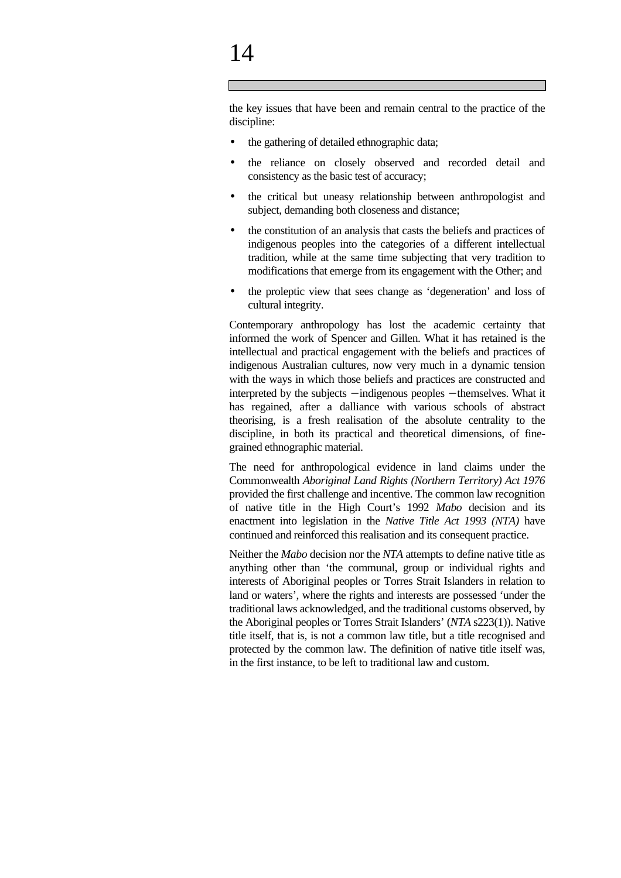# 14

the key issues that have been and remain central to the practice of the discipline:

- the gathering of detailed ethnographic data;
- the reliance on closely observed and recorded detail and consistency as the basic test of accuracy;
- the critical but uneasy relationship between anthropologist and subject, demanding both closeness and distance;
- the constitution of an analysis that casts the beliefs and practices of indigenous peoples into the categories of a different intellectual tradition, while at the same time subjecting that very tradition to modifications that emerge from its engagement with the Other; and
- the proleptic view that sees change as 'degeneration' and loss of cultural integrity.

Contemporary anthropology has lost the academic certainty that informed the work of Spencer and Gillen. What it has retained is the intellectual and practical engagement with the beliefs and practices of indigenous Australian cultures, now very much in a dynamic tension with the ways in which those beliefs and practices are constructed and interpreted by the subjects − indigenous peoples − themselves. What it has regained, after a dalliance with various schools of abstract theorising, is a fresh realisation of the absolute centrality to the discipline, in both its practical and theoretical dimensions, of finegrained ethnographic material.

The need for anthropological evidence in land claims under the Commonwealth *Aboriginal Land Rights (Northern Territory) Act 1976* provided the first challenge and incentive. The common law recognition of native title in the High Court's 1992 *Mabo* decision and its enactment into legislation in the *Native Title Act 1993 (NTA)* have continued and reinforced this realisation and its consequent practice.

Neither the *Mabo* decision nor the *NTA* attempts to define native title as anything other than 'the communal, group or individual rights and interests of Aboriginal peoples or Torres Strait Islanders in relation to land or waters', where the rights and interests are possessed 'under the traditional laws acknowledged, and the traditional customs observed, by the Aboriginal peoples or Torres Strait Islanders' (*NTA* s223(1)). Native title itself, that is, is not a common law title, but a title recognised and protected by the common law. The definition of native title itself was, in the first instance, to be left to traditional law and custom.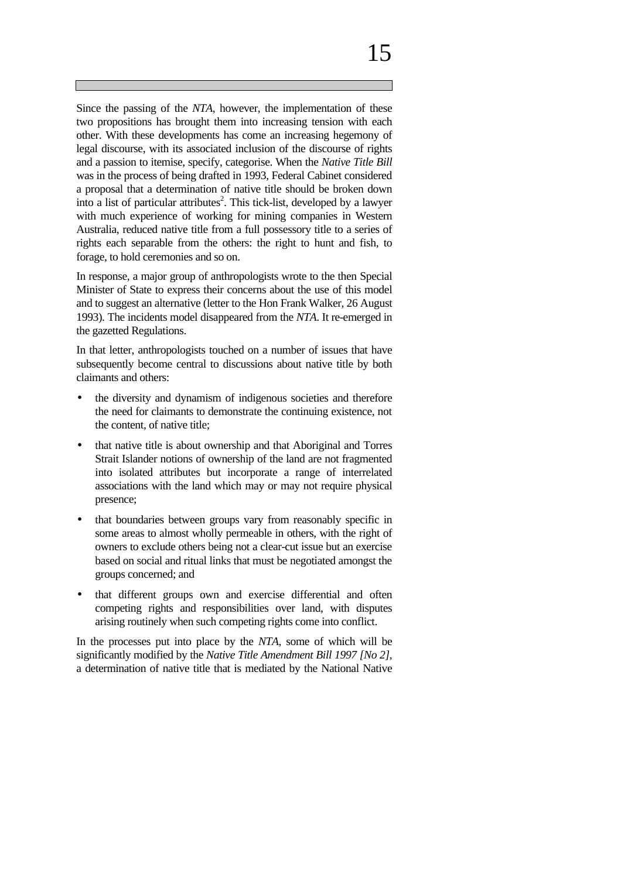Since the passing of the *NTA*, however, the implementation of these two propositions has brought them into increasing tension with each other. With these developments has come an increasing hegemony of legal discourse, with its associated inclusion of the discourse of rights and a passion to itemise, specify, categorise. When the *Native Title Bill* was in the process of being drafted in 1993, Federal Cabinet considered a proposal that a determination of native title should be broken down into a list of particular attributes<sup>2</sup>. This tick-list, developed by a lawyer with much experience of working for mining companies in Western Australia, reduced native title from a full possessory title to a series of rights each separable from the others: the right to hunt and fish, to forage, to hold ceremonies and so on.

In response, a major group of anthropologists wrote to the then Special Minister of State to express their concerns about the use of this model and to suggest an alternative (letter to the Hon Frank Walker, 26 August 1993). The incidents model disappeared from the *NTA*. It re-emerged in the gazetted Regulations.

In that letter, anthropologists touched on a number of issues that have subsequently become central to discussions about native title by both claimants and others:

- the diversity and dynamism of indigenous societies and therefore the need for claimants to demonstrate the continuing existence, not the content, of native title;
- that native title is about ownership and that Aboriginal and Torres Strait Islander notions of ownership of the land are not fragmented into isolated attributes but incorporate a range of interrelated associations with the land which may or may not require physical presence;
- that boundaries between groups vary from reasonably specific in some areas to almost wholly permeable in others, with the right of owners to exclude others being not a clear-cut issue but an exercise based on social and ritual links that must be negotiated amongst the groups concerned; and
- that different groups own and exercise differential and often competing rights and responsibilities over land, with disputes arising routinely when such competing rights come into conflict.

In the processes put into place by the *NTA*, some of which will be significantly modified by the *Native Title Amendment Bill 1997 [No 2]*, a determination of native title that is mediated by the National Native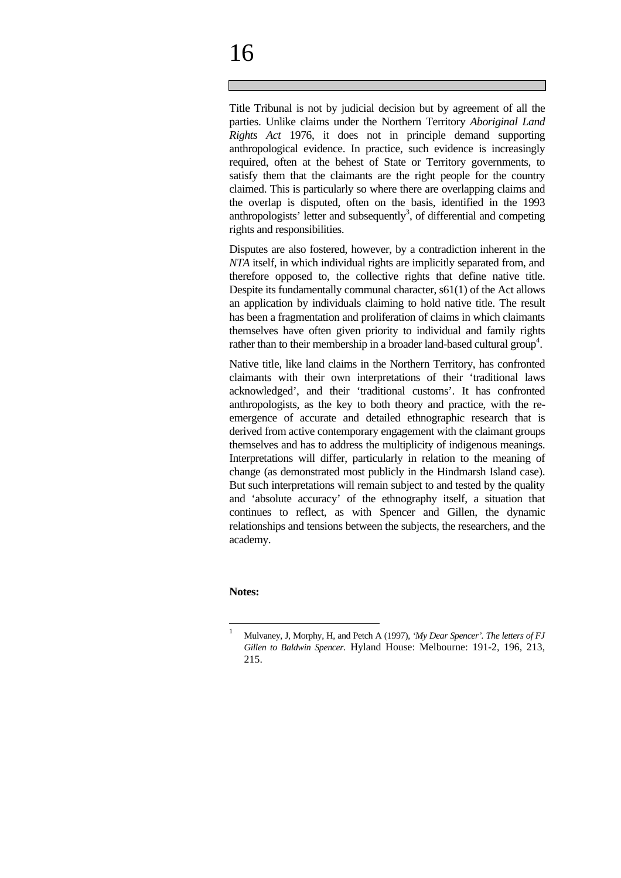# 16

Title Tribunal is not by judicial decision but by agreement of all the parties. Unlike claims under the Northern Territory *Aboriginal Land Rights Act* 1976, it does not in principle demand supporting anthropological evidence. In practice, such evidence is increasingly required, often at the behest of State or Territory governments, to satisfy them that the claimants are the right people for the country claimed. This is particularly so where there are overlapping claims and the overlap is disputed, often on the basis, identified in the 1993 anthropologists' letter and subsequently<sup>3</sup>, of differential and competing rights and responsibilities.

Disputes are also fostered, however, by a contradiction inherent in the *NTA* itself, in which individual rights are implicitly separated from, and therefore opposed to, the collective rights that define native title. Despite its fundamentally communal character, s61(1) of the Act allows an application by individuals claiming to hold native title. The result has been a fragmentation and proliferation of claims in which claimants themselves have often given priority to individual and family rights rather than to their membership in a broader land-based cultural group<sup>4</sup>.

Native title, like land claims in the Northern Territory, has confronted claimants with their own interpretations of their 'traditional laws acknowledged', and their 'traditional customs'. It has confronted anthropologists, as the key to both theory and practice, with the reemergence of accurate and detailed ethnographic research that is derived from active contemporary engagement with the claimant groups themselves and has to address the multiplicity of indigenous meanings. Interpretations will differ, particularly in relation to the meaning of change (as demonstrated most publicly in the Hindmarsh Island case). But such interpretations will remain subject to and tested by the quality and 'absolute accuracy' of the ethnography itself, a situation that continues to reflect, as with Spencer and Gillen, the dynamic relationships and tensions between the subjects, the researchers, and the academy.

#### **Notes:**

 $\overline{a}$ 

<sup>1</sup> Mulvaney, J, Morphy, H, and Petch A (1997), *'My Dear Spencer'. The letters of FJ Gillen to Baldwin Spencer*. Hyland House: Melbourne: 191-2, 196, 213, 215.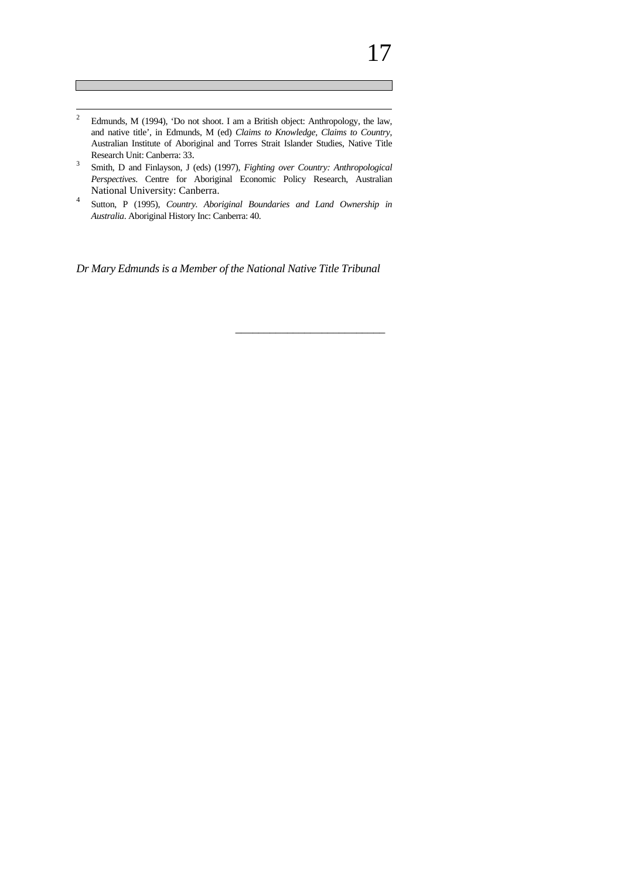- $\frac{1}{2}$ Edmunds, M (1994), 'Do not shoot. I am a British object: Anthropology, the law, and native title', in Edmunds, M (ed) *Claims to Knowledge, Claims to Country*, Australian Institute of Aboriginal and Torres Strait Islander Studies, Native Title Research Unit: Canberra: 33.
- 3 Smith, D and Finlayson, J (eds) (1997), *Fighting over Country: Anthropological Perspectives*. Centre for Aboriginal Economic Policy Research, Australian National University: Canberra.
- 4 Sutton, P (1995), *Country. Aboriginal Boundaries and Land Ownership in Australia*. Aboriginal History Inc: Canberra: 40.

*Dr Mary Edmunds is a Member of the National Native Title Tribunal*

\_\_\_\_\_\_\_\_\_\_\_\_\_\_\_\_\_\_\_\_\_\_\_\_\_\_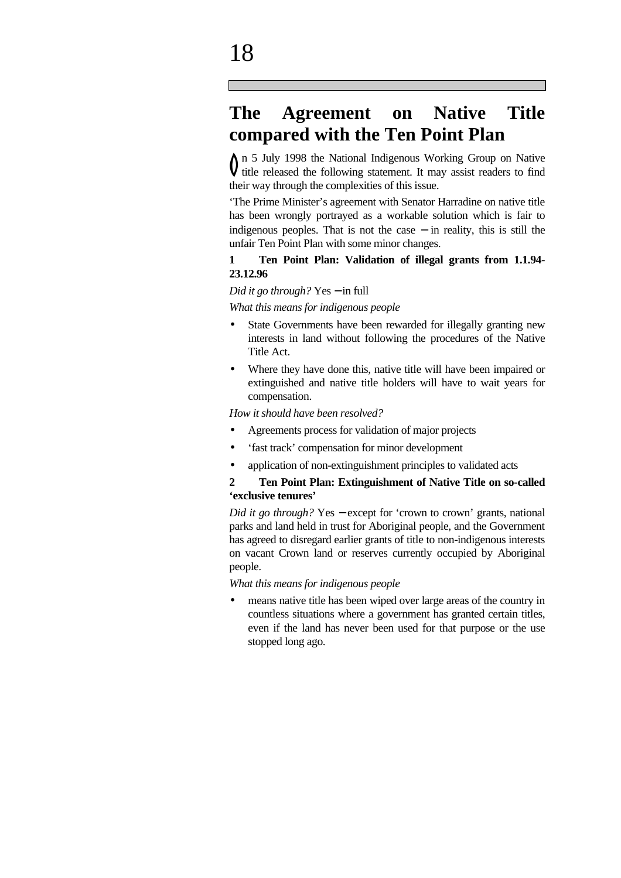### **The Agreement on Native Title compared with the Ten Point Plan**

n 5 July 1998 the National Indigenous Working Group on Native  $\int$  n 5 July 1998 the National Indigenous Working Group on Native<br>ditle released the following statement. It may assist readers to find their way through the complexities of this issue.

'The Prime Minister's agreement with Senator Harradine on native title has been wrongly portrayed as a workable solution which is fair to indigenous peoples. That is not the case  $-$  in reality, this is still the unfair Ten Point Plan with some minor changes.

#### **1 Ten Point Plan: Validation of illegal grants from 1.1.94- 23.12.96**

#### *Did it go through?* Yes − in full

*What this means for indigenous people*

- State Governments have been rewarded for illegally granting new interests in land without following the procedures of the Native Title Act.
- Where they have done this, native title will have been impaired or extinguished and native title holders will have to wait years for compensation.

*How it should have been resolved?*

- Agreements process for validation of major projects
- 'fast track' compensation for minor development
- application of non-extinguishment principles to validated acts

#### **2 Ten Point Plan: Extinguishment of Native Title on so-called 'exclusive tenures'**

*Did it go through?* Yes – except for 'crown to crown' grants, national parks and land held in trust for Aboriginal people, and the Government has agreed to disregard earlier grants of title to non-indigenous interests on vacant Crown land or reserves currently occupied by Aboriginal people.

*What this means for indigenous people*

• means native title has been wiped over large areas of the country in countless situations where a government has granted certain titles, even if the land has never been used for that purpose or the use stopped long ago.

# 18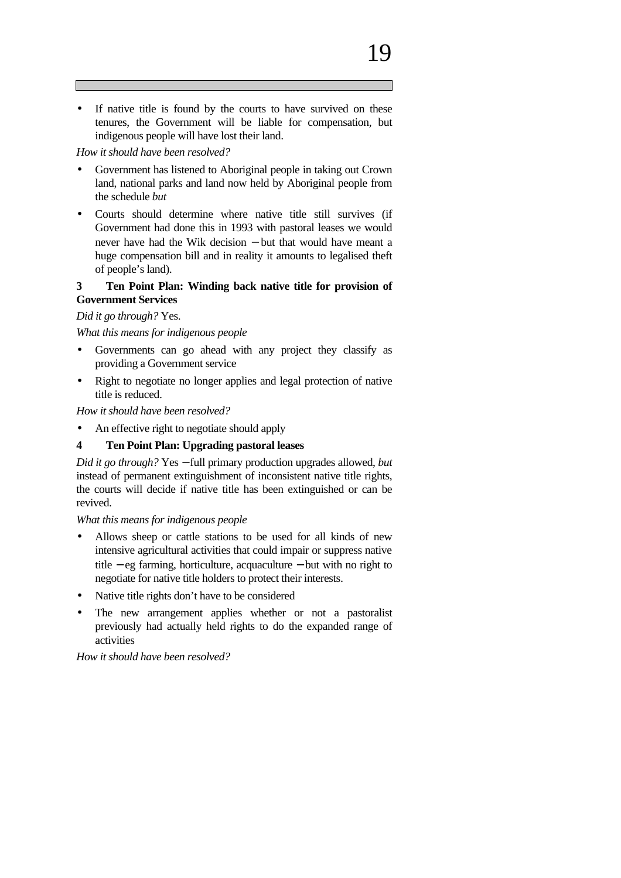#### *How it should have been resolved?*

- Government has listened to Aboriginal people in taking out Crown land, national parks and land now held by Aboriginal people from the schedule *but*
- Courts should determine where native title still survives (if Government had done this in 1993 with pastoral leases we would never have had the Wik decision – but that would have meant a huge compensation bill and in reality it amounts to legalised theft of people's land).

#### **3 Ten Point Plan: Winding back native title for provision of Government Services**

#### *Did it go through?* Yes.

*What this means for indigenous people*

- Governments can go ahead with any project they classify as providing a Government service
- Right to negotiate no longer applies and legal protection of native title is reduced.

*How it should have been resolved?*

- An effective right to negotiate should apply
- **4 Ten Point Plan: Upgrading pastoral leases**

*Did it go through?* Yes − full primary production upgrades allowed, *but* instead of permanent extinguishment of inconsistent native title rights, the courts will decide if native title has been extinguished or can be revived.

*What this means for indigenous people*

- Allows sheep or cattle stations to be used for all kinds of new intensive agricultural activities that could impair or suppress native title − eg farming, horticulture, acquaculture − but with no right to negotiate for native title holders to protect their interests.
- Native title rights don't have to be considered
- The new arrangement applies whether or not a pastoralist previously had actually held rights to do the expanded range of activities

*How it should have been resolved?*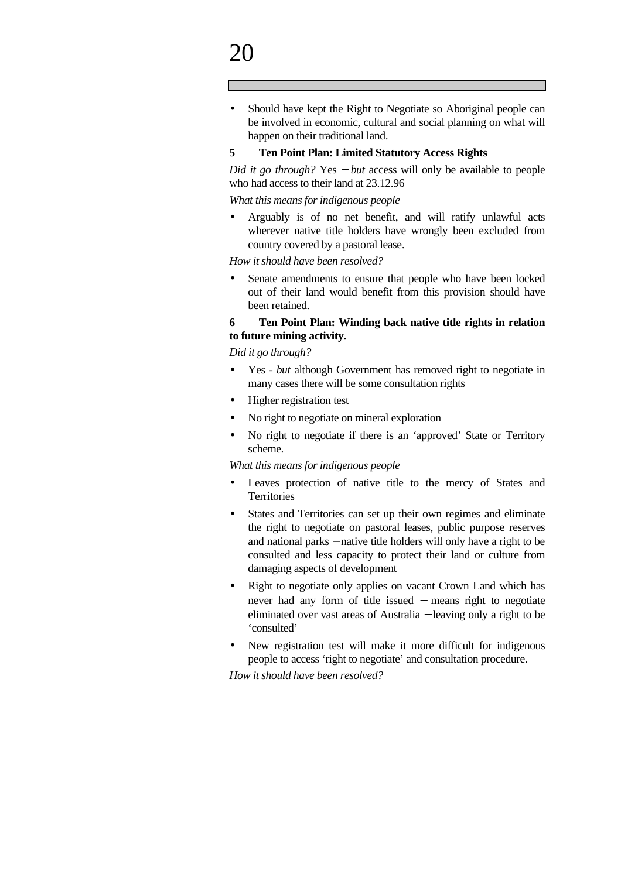# $\mathcal{D}\Omega$

• Should have kept the Right to Negotiate so Aboriginal people can be involved in economic, cultural and social planning on what will happen on their traditional land.

#### **5 Ten Point Plan: Limited Statutory Access Rights**

*Did it go through?* Yes − *but* access will only be available to people who had access to their land at 23.12.96

*What this means for indigenous people*

• Arguably is of no net benefit, and will ratify unlawful acts wherever native title holders have wrongly been excluded from country covered by a pastoral lease.

*How it should have been resolved?*

Senate amendments to ensure that people who have been locked out of their land would benefit from this provision should have been retained.

#### **6 Ten Point Plan: Winding back native title rights in relation to future mining activity.**

*Did it go through?*

- Yes *but* although Government has removed right to negotiate in many cases there will be some consultation rights
- Higher registration test
- No right to negotiate on mineral exploration
- No right to negotiate if there is an 'approved' State or Territory scheme.

*What this means for indigenous people*

- Leaves protection of native title to the mercy of States and **Territories**
- States and Territories can set up their own regimes and eliminate the right to negotiate on pastoral leases, public purpose reserves and national parks − native title holders will only have a right to be consulted and less capacity to protect their land or culture from damaging aspects of development
- Right to negotiate only applies on vacant Crown Land which has never had any form of title issued − means right to negotiate eliminated over vast areas of Australia − leaving only a right to be 'consulted'
- New registration test will make it more difficult for indigenous people to access 'right to negotiate' and consultation procedure.

*How it should have been resolved?*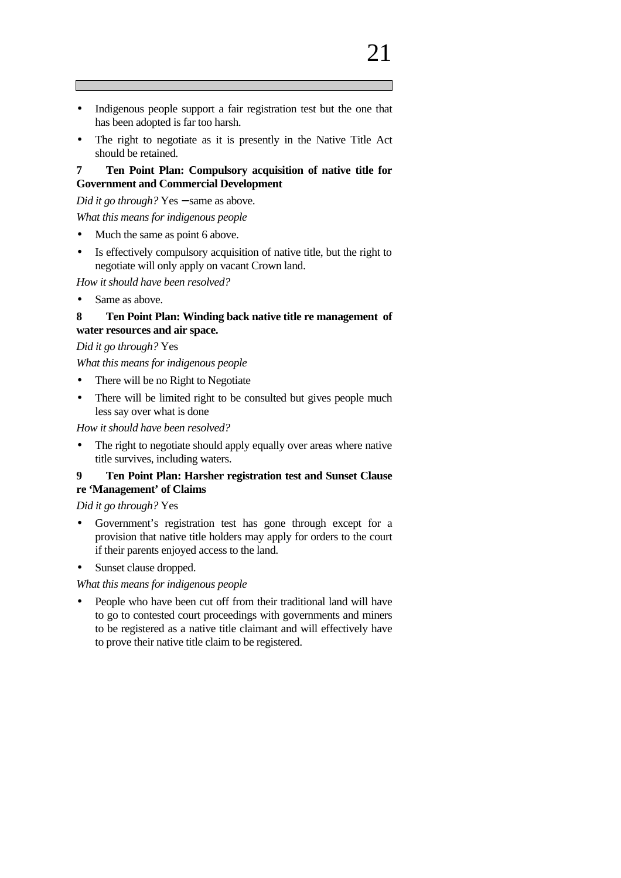• The right to negotiate as it is presently in the Native Title Act should be retained.

#### **7 Ten Point Plan: Compulsory acquisition of native title for Government and Commercial Development**

*Did it go through?* Yes – same as above.

*What this means for indigenous people*

- Much the same as point 6 above.
- Is effectively compulsory acquisition of native title, but the right to negotiate will only apply on vacant Crown land.

*How it should have been resolved?*

• Same as above.

#### **8 Ten Point Plan: Winding back native title re management of water resources and air space.**

*Did it go through?* Yes

*What this means for indigenous people*

- There will be no Right to Negotiate
- There will be limited right to be consulted but gives people much less say over what is done

*How it should have been resolved?*

• The right to negotiate should apply equally over areas where native title survives, including waters.

#### **9 Ten Point Plan: Harsher registration test and Sunset Clause**

#### **re 'Management' of Claims**

*Did it go through?* Yes

- Government's registration test has gone through except for a provision that native title holders may apply for orders to the court if their parents enjoyed access to the land.
- Sunset clause dropped.

*What this means for indigenous people*

• People who have been cut off from their traditional land will have to go to contested court proceedings with governments and miners to be registered as a native title claimant and will effectively have to prove their native title claim to be registered.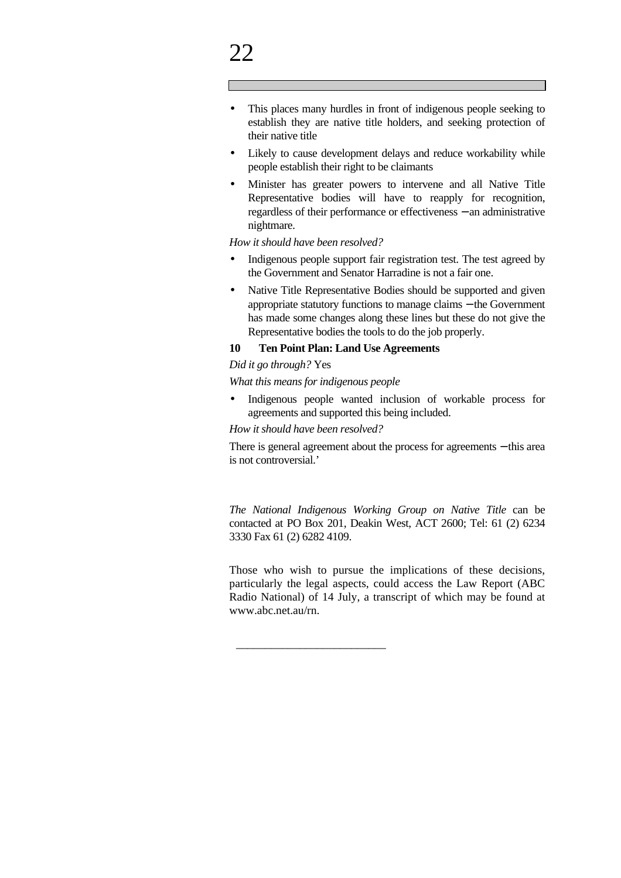- This places many hurdles in front of indigenous people seeking to establish they are native title holders, and seeking protection of their native title
- Likely to cause development delays and reduce workability while people establish their right to be claimants
- Minister has greater powers to intervene and all Native Title Representative bodies will have to reapply for recognition, regardless of their performance or effectiveness − an administrative nightmare.

*How it should have been resolved?*

- Indigenous people support fair registration test. The test agreed by the Government and Senator Harradine is not a fair one.
- Native Title Representative Bodies should be supported and given appropriate statutory functions to manage claims − the Government has made some changes along these lines but these do not give the Representative bodies the tools to do the job properly.

#### **10 Ten Point Plan: Land Use Agreements**

#### *Did it go through?* Yes

*What this means for indigenous people*

• Indigenous people wanted inclusion of workable process for agreements and supported this being included.

*How it should have been resolved?*

\_\_\_\_\_\_\_\_\_\_\_\_\_\_\_\_\_\_\_\_\_\_\_\_\_\_

There is general agreement about the process for agreements − this area is not controversial.'

*The National Indigenous Working Group on Native Title* can be contacted at PO Box 201, Deakin West, ACT 2600; Tel: 61 (2) 6234 3330 Fax 61 (2) 6282 4109.

Those who wish to pursue the implications of these decisions, particularly the legal aspects, could access the Law Report (ABC Radio National) of 14 July, a transcript of which may be found at www.abc.net.au/rn.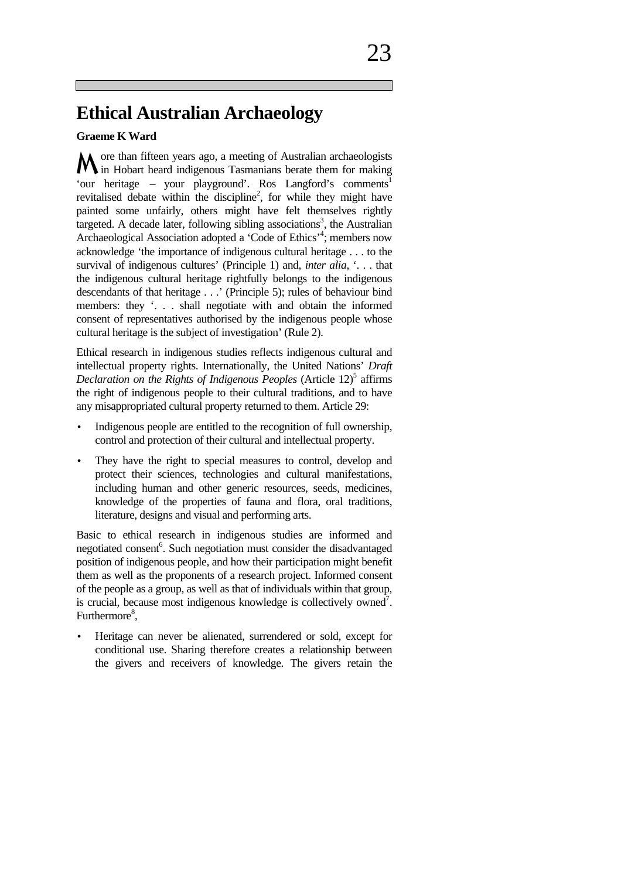### **Ethical Australian Archaeology**

#### **Graeme K Ward**

ore than fifteen years ago, a meeting of Australian archaeologists M ore than fifteen years ago, a meeting of Australian archaeologists<br>M in Hobart heard indigenous Tasmanians berate them for making 'our heritage − your playground'. Ros Langford's comments<sup>1</sup> revitalised debate within the discipline<sup>2</sup>, for while they might have painted some unfairly, others might have felt themselves rightly targeted. A decade later, following sibling associations<sup>3</sup>, the Australian Archaeological Association adopted a 'Code of Ethics'<sup>4</sup>; members now acknowledge 'the importance of indigenous cultural heritage . . . to the survival of indigenous cultures' (Principle 1) and, *inter alia*, '. . . that the indigenous cultural heritage rightfully belongs to the indigenous descendants of that heritage . . .' (Principle 5); rules of behaviour bind members: they '. . . shall negotiate with and obtain the informed consent of representatives authorised by the indigenous people whose cultural heritage is the subject of investigation' (Rule 2).

Ethical research in indigenous studies reflects indigenous cultural and intellectual property rights. Internationally, the United Nations' *Draft*  Declaration on the Rights of Indigenous Peoples (Article 12)<sup>5</sup> affirms the right of indigenous people to their cultural traditions, and to have any misappropriated cultural property returned to them. Article 29:

- Indigenous people are entitled to the recognition of full ownership, control and protection of their cultural and intellectual property.
- They have the right to special measures to control, develop and protect their sciences, technologies and cultural manifestations, including human and other generic resources, seeds, medicines, knowledge of the properties of fauna and flora, oral traditions, literature, designs and visual and performing arts.

Basic to ethical research in indigenous studies are informed and negotiated consent<sup>6</sup>. Such negotiation must consider the disadvantaged position of indigenous people, and how their participation might benefit them as well as the proponents of a research project. Informed consent of the people as a group, as well as that of individuals within that group, is crucial, because most indigenous knowledge is collectively owned<sup>7</sup>. Furthermore<sup>8</sup>,

• Heritage can never be alienated, surrendered or sold, except for conditional use. Sharing therefore creates a relationship between the givers and receivers of knowledge. The givers retain the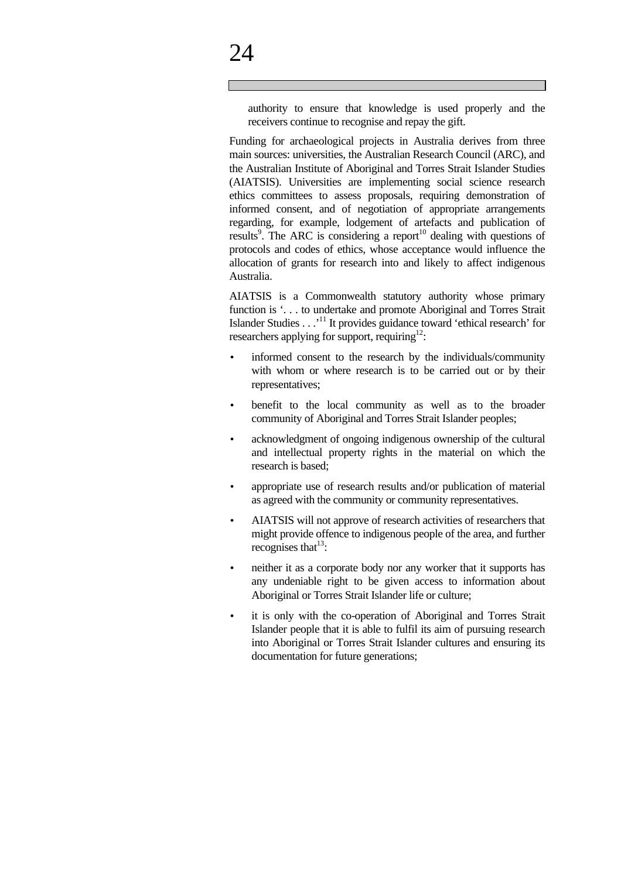authority to ensure that knowledge is used properly and the receivers continue to recognise and repay the gift.

Funding for archaeological projects in Australia derives from three main sources: universities, the Australian Research Council (ARC), and the Australian Institute of Aboriginal and Torres Strait Islander Studies (AIATSIS). Universities are implementing social science research ethics committees to assess proposals, requiring demonstration of informed consent, and of negotiation of appropriate arrangements regarding, for example, lodgement of artefacts and publication of results<sup>9</sup>. The ARC is considering a report<sup>10</sup> dealing with questions of protocols and codes of ethics, whose acceptance would influence the allocation of grants for research into and likely to affect indigenous Australia.

AIATSIS is a Commonwealth statutory authority whose primary function is '. . . to undertake and promote Aboriginal and Torres Strait Islander Studies . . .'<sup>11</sup> It provides guidance toward 'ethical research' for researchers applying for support, requiring<sup>12</sup>:

- informed consent to the research by the individuals/community with whom or where research is to be carried out or by their representatives;
- benefit to the local community as well as to the broader community of Aboriginal and Torres Strait Islander peoples;
- acknowledgment of ongoing indigenous ownership of the cultural and intellectual property rights in the material on which the research is based;
- appropriate use of research results and/or publication of material as agreed with the community or community representatives.
- AIATSIS will not approve of research activities of researchers that might provide offence to indigenous people of the area, and further recognises that  $13$ :
- neither it as a corporate body nor any worker that it supports has any undeniable right to be given access to information about Aboriginal or Torres Strait Islander life or culture;
- it is only with the co-operation of Aboriginal and Torres Strait Islander people that it is able to fulfil its aim of pursuing research into Aboriginal or Torres Strait Islander cultures and ensuring its documentation for future generations;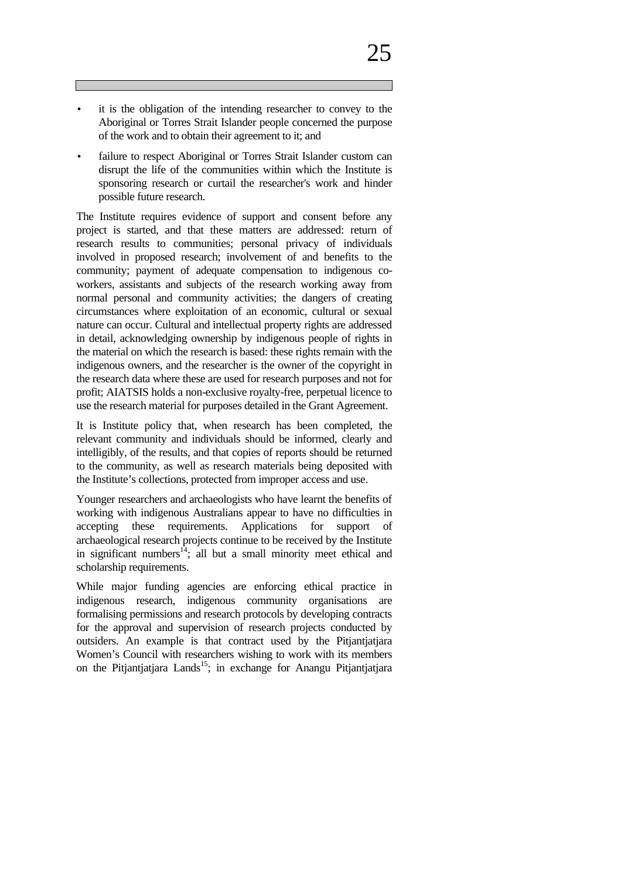- it is the obligation of the intending researcher to convey to the Aboriginal or Torres Strait Islander people concerned the purpose of the work and to obtain their agreement to it; and
- failure to respect Aboriginal or Torres Strait Islander custom can disrupt the life of the communities within which the Institute is sponsoring research or curtail the researcher's work and hinder possible future research.

The Institute requires evidence of support and consent before any project is started, and that these matters are addressed: return of research results to communities; personal privacy of individuals involved in proposed research; involvement of and benefits to the community; payment of adequate compensation to indigenous coworkers, assistants and subjects of the research working away from normal personal and community activities; the dangers of creating circumstances where exploitation of an economic, cultural or sexual nature can occur. Cultural and intellectual property rights are addressed in detail, acknowledging ownership by indigenous people of rights in the material on which the research is based: these rights remain with the indigenous owners, and the researcher is the owner of the copyright in the research data where these are used for research purposes and not for profit; AIATSIS holds a non-exclusive royalty-free, perpetual licence to use the research material for purposes detailed in the Grant Agreement.

It is Institute policy that, when research has been completed, the relevant community and individuals should be informed, clearly and intelligibly, of the results, and that copies of reports should be returned to the community, as well as research materials being deposited with the Institute's collections, protected from improper access and use.

Younger researchers and archaeologists who have learnt the benefits of working with indigenous Australians appear to have no difficulties in accepting these requirements. Applications for support of archaeological research projects continue to be received by the Institute in significant numbers<sup>14</sup>; all but a small minority meet ethical and scholarship requirements.

While major funding agencies are enforcing ethical practice in indigenous research, indigenous community organisations are formalising permissions and research protocols by developing contracts for the approval and supervision of research projects conducted by outsiders. An example is that contract used by the Pitjantjatjara Women's Council with researchers wishing to work with its members on the Pitjantjatjara Lands<sup>15</sup>; in exchange for Anangu Pitjantjatjara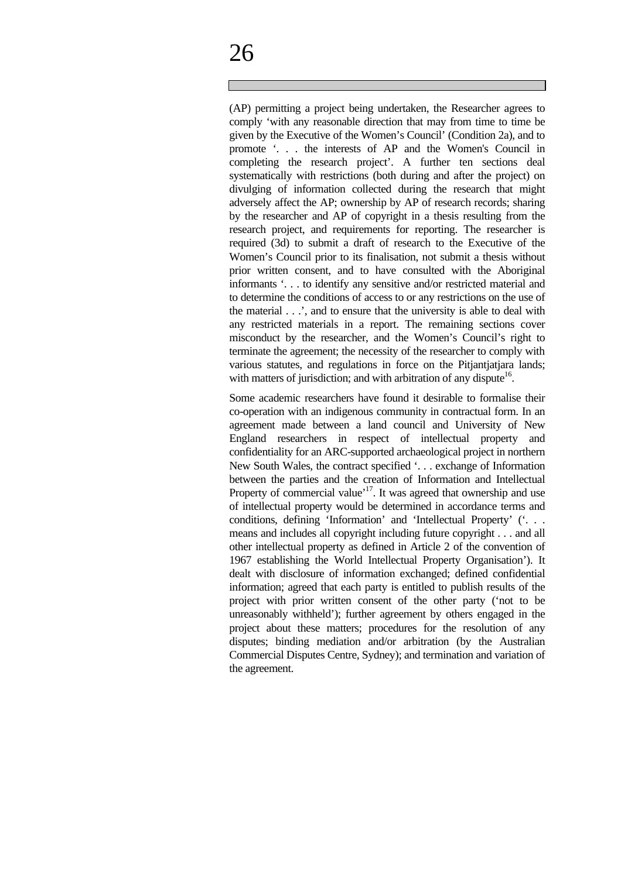(AP) permitting a project being undertaken, the Researcher agrees to comply 'with any reasonable direction that may from time to time be given by the Executive of the Women's Council' (Condition 2a), and to promote '. . . the interests of AP and the Women's Council in completing the research project'. A further ten sections deal systematically with restrictions (both during and after the project) on divulging of information collected during the research that might adversely affect the AP; ownership by AP of research records; sharing by the researcher and AP of copyright in a thesis resulting from the research project, and requirements for reporting. The researcher is required (3d) to submit a draft of research to the Executive of the Women's Council prior to its finalisation, not submit a thesis without prior written consent, and to have consulted with the Aboriginal informants '. . . to identify any sensitive and/or restricted material and to determine the conditions of access to or any restrictions on the use of the material . . .', and to ensure that the university is able to deal with any restricted materials in a report. The remaining sections cover misconduct by the researcher, and the Women's Council's right to terminate the agreement; the necessity of the researcher to comply with various statutes, and regulations in force on the Pitjantjatjara lands; with matters of jurisdiction; and with arbitration of any dispute<sup>16</sup>.

Some academic researchers have found it desirable to formalise their co-operation with an indigenous community in contractual form. In an agreement made between a land council and University of New England researchers in respect of intellectual property and confidentiality for an ARC-supported archaeological project in northern New South Wales, the contract specified '. . . exchange of Information between the parties and the creation of Information and Intellectual Property of commercial value<sup>'17</sup>. It was agreed that ownership and use of intellectual property would be determined in accordance terms and conditions, defining 'Information' and 'Intellectual Property' ('. . . means and includes all copyright including future copyright . . . and all other intellectual property as defined in Article 2 of the convention of 1967 establishing the World Intellectual Property Organisation'). It dealt with disclosure of information exchanged; defined confidential information; agreed that each party is entitled to publish results of the project with prior written consent of the other party ('not to be unreasonably withheld'); further agreement by others engaged in the project about these matters; procedures for the resolution of any disputes; binding mediation and/or arbitration (by the Australian Commercial Disputes Centre, Sydney); and termination and variation of the agreement.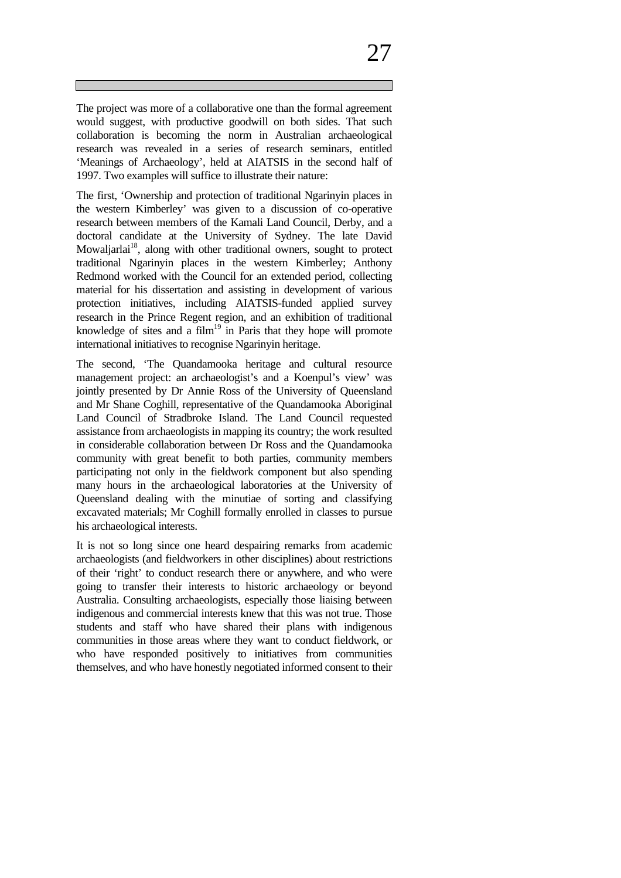The project was more of a collaborative one than the formal agreement would suggest, with productive goodwill on both sides. That such collaboration is becoming the norm in Australian archaeological research was revealed in a series of research seminars, entitled 'Meanings of Archaeology', held at AIATSIS in the second half of 1997. Two examples will suffice to illustrate their nature:

The first, 'Ownership and protection of traditional Ngarinyin places in the western Kimberley' was given to a discussion of co-operative research between members of the Kamali Land Council, Derby, and a doctoral candidate at the University of Sydney. The late David Mowaljarlai<sup>18</sup>, along with other traditional owners, sought to protect traditional Ngarinyin places in the western Kimberley; Anthony Redmond worked with the Council for an extended period, collecting material for his dissertation and assisting in development of various protection initiatives, including AIATSIS-funded applied survey research in the Prince Regent region, and an exhibition of traditional knowledge of sites and a  $film<sup>19</sup>$  in Paris that they hope will promote international initiatives to recognise Ngarinyin heritage.

The second, 'The Quandamooka heritage and cultural resource management project: an archaeologist's and a Koenpul's view' was jointly presented by Dr Annie Ross of the University of Queensland and Mr Shane Coghill, representative of the Quandamooka Aboriginal Land Council of Stradbroke Island. The Land Council requested assistance from archaeologists in mapping its country; the work resulted in considerable collaboration between Dr Ross and the Quandamooka community with great benefit to both parties, community members participating not only in the fieldwork component but also spending many hours in the archaeological laboratories at the University of Queensland dealing with the minutiae of sorting and classifying excavated materials; Mr Coghill formally enrolled in classes to pursue his archaeological interests.

It is not so long since one heard despairing remarks from academic archaeologists (and fieldworkers in other disciplines) about restrictions of their 'right' to conduct research there or anywhere, and who were going to transfer their interests to historic archaeology or beyond Australia. Consulting archaeologists, especially those liaising between indigenous and commercial interests knew that this was not true. Those students and staff who have shared their plans with indigenous communities in those areas where they want to conduct fieldwork, or who have responded positively to initiatives from communities themselves, and who have honestly negotiated informed consent to their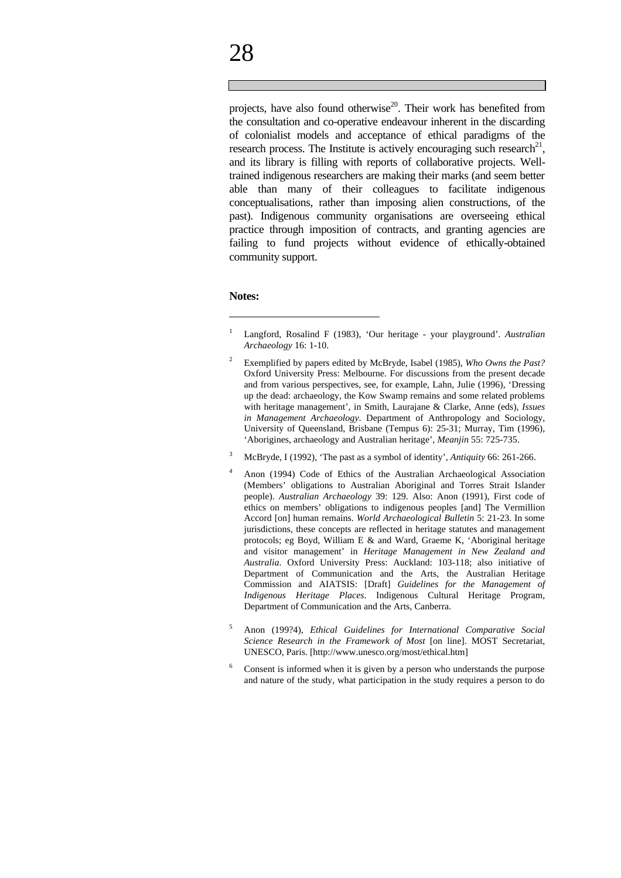projects, have also found otherwise<sup>20</sup>. Their work has benefited from the consultation and co-operative endeavour inherent in the discarding of colonialist models and acceptance of ethical paradigms of the research process. The Institute is actively encouraging such research $21$ , and its library is filling with reports of collaborative projects. Welltrained indigenous researchers are making their marks (and seem better able than many of their colleagues to facilitate indigenous conceptualisations, rather than imposing alien constructions, of the past). Indigenous community organisations are overseeing ethical practice through imposition of contracts, and granting agencies are failing to fund projects without evidence of ethically-obtained community support.

#### **Notes:**

 $\overline{a}$ 

- 2 Exemplified by papers edited by McBryde, Isabel (1985), *Who Owns the Past?* Oxford University Press: Melbourne. For discussions from the present decade and from various perspectives, see, for example, Lahn, Julie (1996), 'Dressing up the dead: archaeology, the Kow Swamp remains and some related problems with heritage management', in Smith, Laurajane & Clarke, Anne (eds), *Issues in Management Archaeology*. Department of Anthropology and Sociology, University of Queensland, Brisbane (Tempus 6): 25-31; Murray, Tim (1996), 'Aborigines, archaeology and Australian heritage', *Meanjin* 55: 725-735.
- 3 McBryde, I (1992), 'The past as a symbol of identity', *Antiquity* 66: 261-266.
- <sup>4</sup> Anon (1994) Code of Ethics of the Australian Archaeological Association (Members' obligations to Australian Aboriginal and Torres Strait Islander people). *Australian Archaeology* 39: 129. Also: Anon (1991), First code of ethics on members' obligations to indigenous peoples [and] The Vermillion Accord [on] human remains. *World Archaeological Bulletin* 5: 21-23. In some jurisdictions, these concepts are reflected in heritage statutes and management protocols; eg Boyd, William E & and Ward, Graeme K, 'Aboriginal heritage and visitor management' in *Heritage Management in New Zealand and Australia*. Oxford University Press: Auckland: 103-118; also initiative of Department of Communication and the Arts, the Australian Heritage Commission and AIATSIS: [Draft] *Guidelines for the Management of Indigenous Heritage Places*. Indigenous Cultural Heritage Program, Department of Communication and the Arts, Canberra.
- 5 Anon (199?4), *Ethical Guidelines for International Comparative Social Science Research in the Framework of Most* [on line]. MOST Secretariat, UNESCO, Paris. [http://www.unesco.org/most/ethical.htm]
- 6 Consent is informed when it is given by a person who understands the purpose and nature of the study, what participation in the study requires a person to do

<sup>1</sup> Langford, Rosalind F (1983), 'Our heritage - your playground'. *Australian Archaeology* 16: 1-10.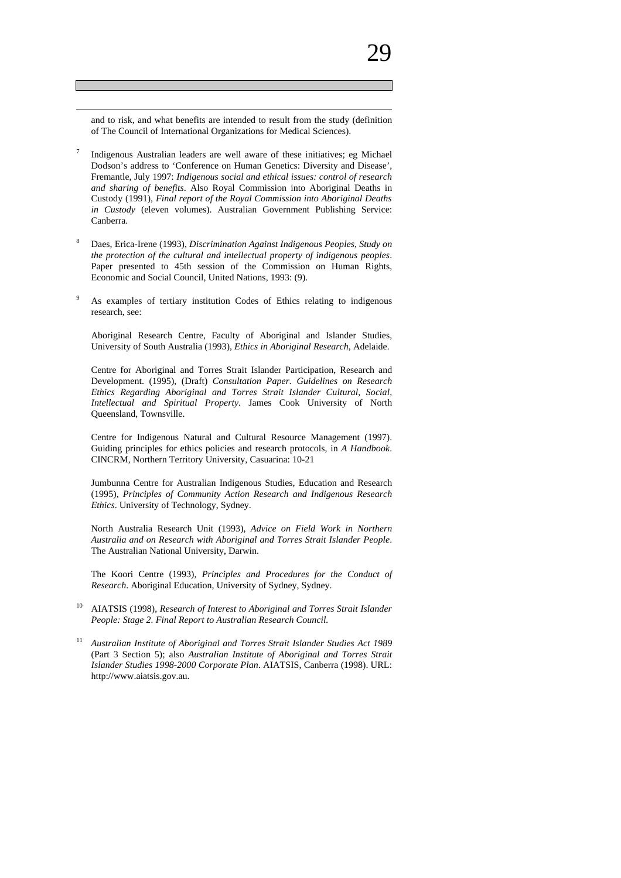$\overline{a}$ 

- 7 Indigenous Australian leaders are well aware of these initiatives; eg Michael Dodson's address to 'Conference on Human Genetics: Diversity and Disease', Fremantle, July 1997: *Indigenous social and ethical issues: control of research and sharing of benefits*. Also Royal Commission into Aboriginal Deaths in Custody (1991), *Final report of the Royal Commission into Aboriginal Deaths in Custody* (eleven volumes). Australian Government Publishing Service: Canberra.
- 8 Daes, Erica-Irene (1993), *Discrimination Against Indigenous Peoples, Study on the protection of the cultural and intellectual property of indigenous peoples*. Paper presented to 45th session of the Commission on Human Rights, Economic and Social Council, United Nations, 1993: (9).
- 9 As examples of tertiary institution Codes of Ethics relating to indigenous research, see:

Aboriginal Research Centre, Faculty of Aboriginal and Islander Studies, University of South Australia (1993), *Ethics in Aboriginal Research*, Adelaide.

Centre for Aboriginal and Torres Strait Islander Participation, Research and Development. (1995), (Draft) *Consultation Paper. Guidelines on Research Ethics Regarding Aboriginal and Torres Strait Islander Cultural, Social, Intellectual and Spiritual Property*. James Cook University of North Queensland, Townsville.

Centre for Indigenous Natural and Cultural Resource Management (1997). Guiding principles for ethics policies and research protocols, in *A Handbook*. CINCRM, Northern Territory University, Casuarina: 10-21

Jumbunna Centre for Australian Indigenous Studies, Education and Research (1995), *Principles of Community Action Research and Indigenous Research Ethics*. University of Technology, Sydney.

North Australia Research Unit (1993), *Advice on Field Work in Northern Australia and on Research with Aboriginal and Torres Strait Islander People*. The Australian National University, Darwin.

The Koori Centre (1993), *Principles and Procedures for the Conduct of Research*. Aboriginal Education, University of Sydney, Sydney.

- 10 AIATSIS (1998), *Research of Interest to Aboriginal and Torres Strait Islander People: Stage 2. Final Report to Australian Research Council.*
- 11 *Australian Institute of Aboriginal and Torres Strait Islander Studies Act 1989* (Part 3 Section 5); also *Australian Institute of Aboriginal and Torres Strait Islander Studies 1998-2000 Corporate Plan*. AIATSIS, Canberra (1998). URL: http://www.aiatsis.gov.au.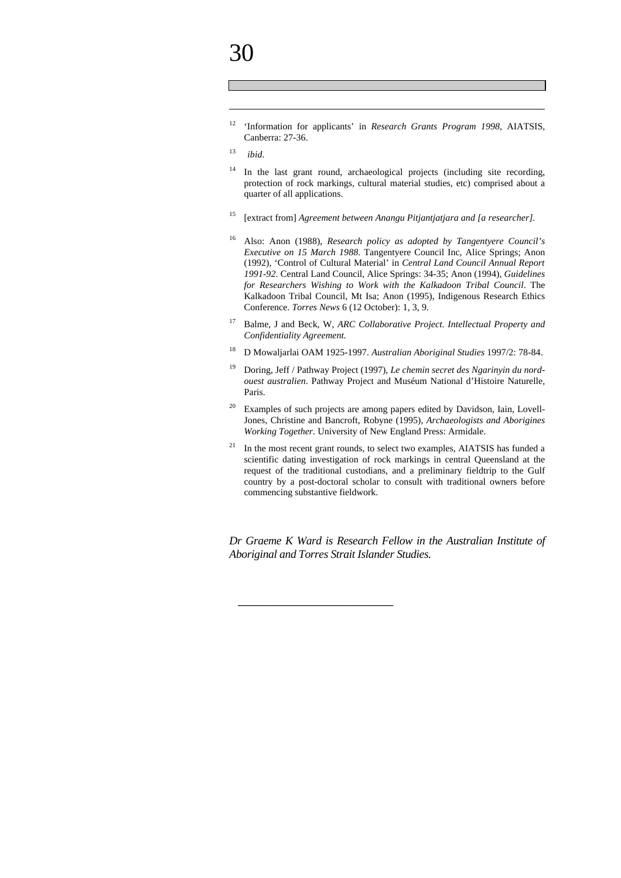$\overline{a}$ 

12 'Information for applicants' in *Research Grants Program 1998*, AIATSIS, Canberra: 27-36.

- 14 In the last grant round, archaeological projects (including site recording, protection of rock markings, cultural material studies, etc) comprised about a quarter of all applications.
- 15 [extract from] *Agreement between Anangu Pitjantjatjara and [a researcher].*
- 16 Also: Anon (1988), *Research policy as adopted by Tangentyere Council's Executive on 15 March 1988*. Tangentyere Council Inc, Alice Springs; Anon (1992), 'Control of Cultural Material' in *Central Land Council Annual Report 1991-92*. Central Land Council, Alice Springs: 34-35; Anon (1994), *Guidelines for Researchers Wishing to Work with the Kalkadoon Tribal Council*. The Kalkadoon Tribal Council, Mt Isa; Anon (1995), Indigenous Research Ethics Conference. *Torres News* 6 (12 October): 1, 3, 9.
- 17 Balme, J and Beck, W, *ARC Collaborative Project. Intellectual Property and Confidentiality Agreement.*
- 18 D Mowaljarlai OAM 1925-1997. *Australian Aboriginal Studies* 1997/2: 78-84.
- 19 Doring, Jeff / Pathway Project (1997), *Le chemin secret des Ngarinyin du nordouest australien*. Pathway Project and Muséum National d'Histoire Naturelle, Paris.
- 20 Examples of such projects are among papers edited by Davidson, Iain, Lovell-Jones, Christine and Bancroft, Robyne (1995), *Archaeologists and Aborigines Working Together.* University of New England Press: Armidale.
- 21 In the most recent grant rounds, to select two examples, AIATSIS has funded a scientific dating investigation of rock markings in central Queensland at the request of the traditional custodians, and a preliminary fieldtrip to the Gulf country by a post-doctoral scholar to consult with traditional owners before commencing substantive fieldwork.

*Dr Graeme K Ward is Research Fellow in the Australian Institute of Aboriginal and Torres Strait Islander Studies.*

\_\_\_\_\_\_\_\_\_\_\_\_\_\_\_\_\_\_\_\_\_

<sup>13</sup> *ibid*.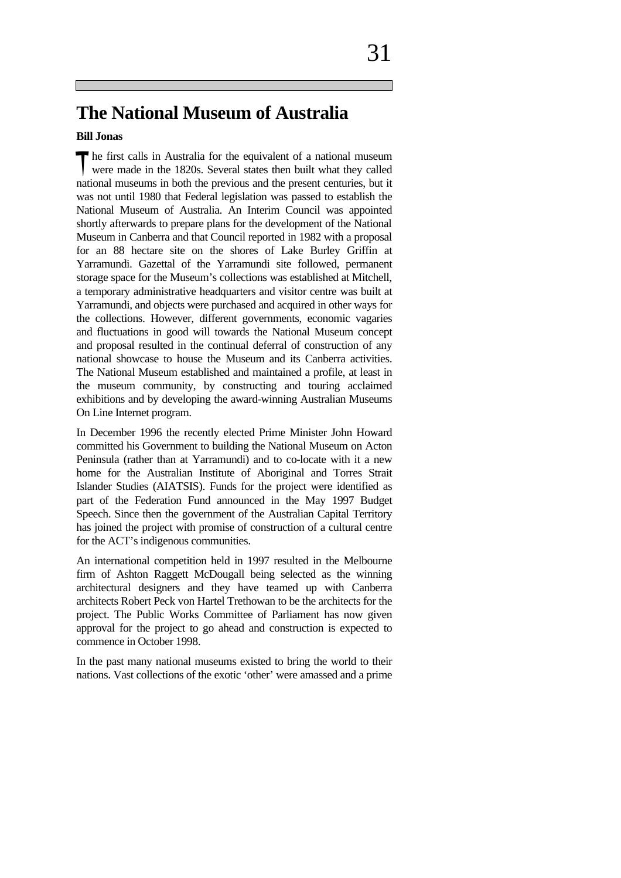### **The National Museum of Australia**

#### **Bill Jonas**

**h** he first calls in Australia for the equivalent of a national museum The first calls in Australia for the equivalent of a national museum were made in the 1820s. Several states then built what they called national museums in both the previous and the present centuries, but it was not until 1980 that Federal legislation was passed to establish the National Museum of Australia. An Interim Council was appointed shortly afterwards to prepare plans for the development of the National Museum in Canberra and that Council reported in 1982 with a proposal for an 88 hectare site on the shores of Lake Burley Griffin at Yarramundi. Gazettal of the Yarramundi site followed, permanent storage space for the Museum's collections was established at Mitchell, a temporary administrative headquarters and visitor centre was built at Yarramundi, and objects were purchased and acquired in other ways for the collections. However, different governments, economic vagaries and fluctuations in good will towards the National Museum concept and proposal resulted in the continual deferral of construction of any national showcase to house the Museum and its Canberra activities. The National Museum established and maintained a profile, at least in the museum community, by constructing and touring acclaimed exhibitions and by developing the award-winning Australian Museums On Line Internet program.

In December 1996 the recently elected Prime Minister John Howard committed his Government to building the National Museum on Acton Peninsula (rather than at Yarramundi) and to co-locate with it a new home for the Australian Institute of Aboriginal and Torres Strait Islander Studies (AIATSIS). Funds for the project were identified as part of the Federation Fund announced in the May 1997 Budget Speech. Since then the government of the Australian Capital Territory has joined the project with promise of construction of a cultural centre for the ACT's indigenous communities.

An international competition held in 1997 resulted in the Melbourne firm of Ashton Raggett McDougall being selected as the winning architectural designers and they have teamed up with Canberra architects Robert Peck von Hartel Trethowan to be the architects for the project. The Public Works Committee of Parliament has now given approval for the project to go ahead and construction is expected to commence in October 1998.

In the past many national museums existed to bring the world to their nations. Vast collections of the exotic 'other' were amassed and a prime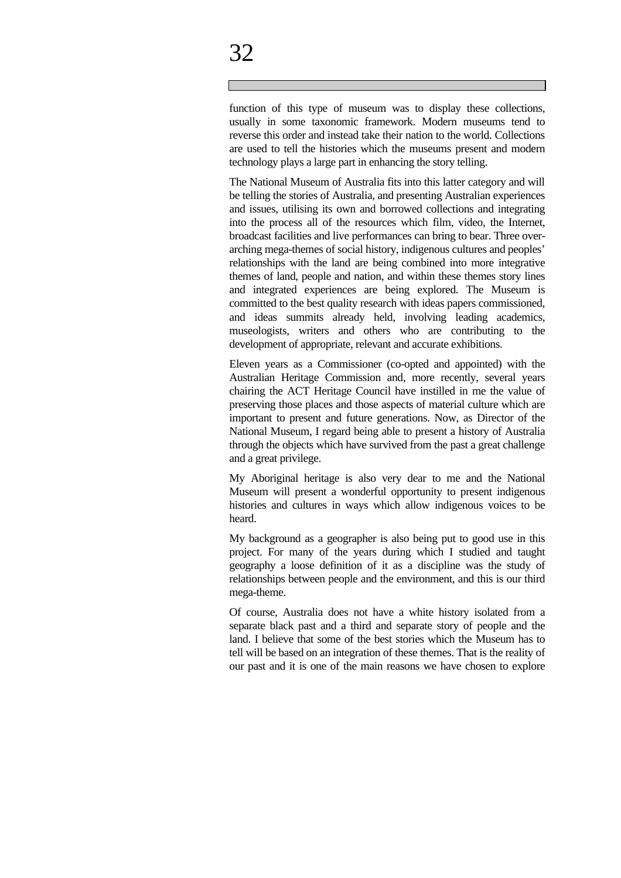# 32

function of this type of museum was to display these collections, usually in some taxonomic framework. Modern museums tend to reverse this order and instead take their nation to the world. Collections are used to tell the histories which the museums present and modern technology plays a large part in enhancing the story telling.

The National Museum of Australia fits into this latter category and will be telling the stories of Australia, and presenting Australian experiences and issues, utilising its own and borrowed collections and integrating into the process all of the resources which film, video, the Internet, broadcast facilities and live performances can bring to bear. Three overarching mega-themes of social history, indigenous cultures and peoples' relationships with the land are being combined into more integrative themes of land, people and nation, and within these themes story lines and integrated experiences are being explored. The Museum is committed to the best quality research with ideas papers commissioned, and ideas summits already held, involving leading academics, museologists, writers and others who are contributing to the development of appropriate, relevant and accurate exhibitions.

Eleven years as a Commissioner (co-opted and appointed) with the Australian Heritage Commission and, more recently, several years chairing the ACT Heritage Council have instilled in me the value of preserving those places and those aspects of material culture which are important to present and future generations. Now, as Director of the National Museum, I regard being able to present a history of Australia through the objects which have survived from the past a great challenge and a great privilege.

My Aboriginal heritage is also very dear to me and the National Museum will present a wonderful opportunity to present indigenous histories and cultures in ways which allow indigenous voices to be heard.

My background as a geographer is also being put to good use in this project. For many of the years during which I studied and taught geography a loose definition of it as a discipline was the study of relationships between people and the environment, and this is our third mega-theme.

Of course, Australia does not have a white history isolated from a separate black past and a third and separate story of people and the land. I believe that some of the best stories which the Museum has to tell will be based on an integration of these themes. That is the reality of our past and it is one of the main reasons we have chosen to explore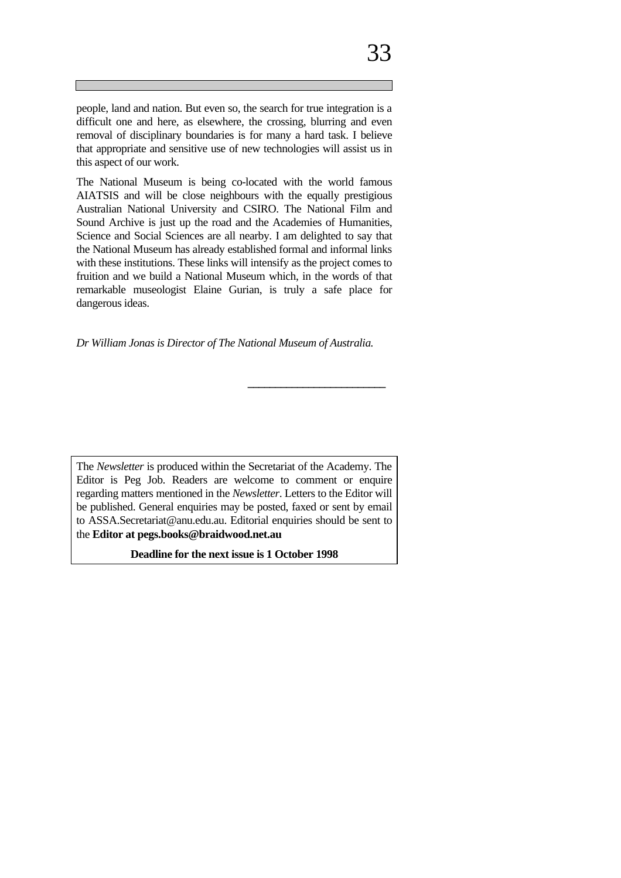The National Museum is being co-located with the world famous AIATSIS and will be close neighbours with the equally prestigious Australian National University and CSIRO. The National Film and Sound Archive is just up the road and the Academies of Humanities, Science and Social Sciences are all nearby. I am delighted to say that the National Museum has already established formal and informal links with these institutions. These links will intensify as the project comes to fruition and we build a National Museum which, in the words of that remarkable museologist Elaine Gurian, is truly a safe place for dangerous ideas.

*Dr William Jonas is Director of The National Museum of Australia.*

**\_\_\_\_\_\_\_\_\_\_\_\_\_\_\_\_\_\_\_\_\_\_\_\_\_**

The *Newsletter* is produced within the Secretariat of the Academy. The Editor is Peg Job. Readers are welcome to comment or enquire regarding matters mentioned in the *Newsletter*. Letters to the Editor will be published. General enquiries may be posted, faxed or sent by email to ASSA.Secretariat@anu.edu.au. Editorial enquiries should be sent to the **Editor at pegs.books@braidwood.net.au**

**Deadline for the next issue is 1 October 1998**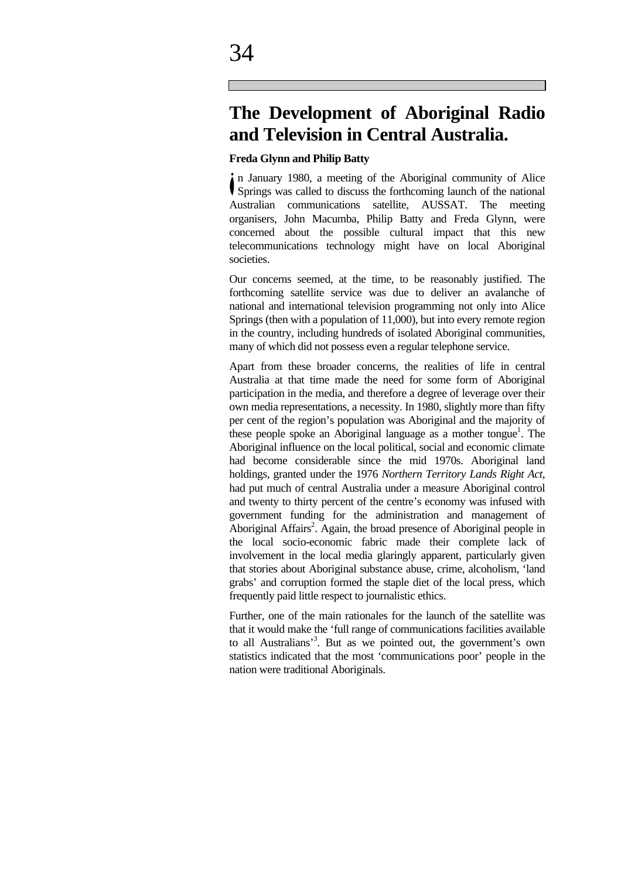### **The Development of Aboriginal Radio and Television in Central Australia.**

#### **Freda Glynn and Philip Batty**

n January 1980, a meeting of the Aboriginal community of Alice In January 1980, a meeting of the Aboriginal community of Alice<br>
Springs was called to discuss the forthcoming launch of the national Australian communications satellite, AUSSAT. The meeting organisers, John Macumba, Philip Batty and Freda Glynn, were concerned about the possible cultural impact that this new telecommunications technology might have on local Aboriginal societies.

Our concerns seemed, at the time, to be reasonably justified. The forthcoming satellite service was due to deliver an avalanche of national and international television programming not only into Alice Springs (then with a population of 11,000), but into every remote region in the country, including hundreds of isolated Aboriginal communities, many of which did not possess even a regular telephone service.

Apart from these broader concerns, the realities of life in central Australia at that time made the need for some form of Aboriginal participation in the media, and therefore a degree of leverage over their own media representations, a necessity. In 1980, slightly more than fifty per cent of the region's population was Aboriginal and the majority of these people spoke an Aboriginal language as a mother tongue<sup>1</sup>. The Aboriginal influence on the local political, social and economic climate had become considerable since the mid 1970s. Aboriginal land holdings, granted under the 1976 *Northern Territory Lands Right Act*, had put much of central Australia under a measure Aboriginal control and twenty to thirty percent of the centre's economy was infused with government funding for the administration and management of Aboriginal Affairs<sup>2</sup>. Again, the broad presence of Aboriginal people in the local socio-economic fabric made their complete lack of involvement in the local media glaringly apparent, particularly given that stories about Aboriginal substance abuse, crime, alcoholism, 'land grabs' and corruption formed the staple diet of the local press, which frequently paid little respect to journalistic ethics.

Further, one of the main rationales for the launch of the satellite was that it would make the 'full range of communications facilities available to all Australians'<sup>3</sup> . But as we pointed out, the government's own statistics indicated that the most 'communications poor' people in the nation were traditional Aboriginals.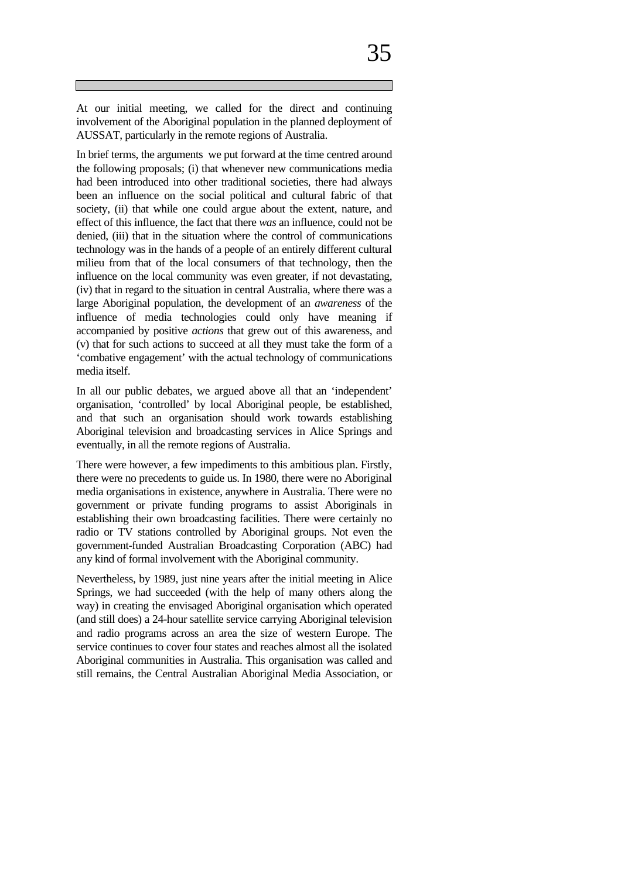In brief terms, the arguments we put forward at the time centred around the following proposals; (i) that whenever new communications media had been introduced into other traditional societies, there had always been an influence on the social political and cultural fabric of that society, (ii) that while one could argue about the extent, nature, and effect of this influence, the fact that there *was* an influence, could not be denied, (iii) that in the situation where the control of communications technology was in the hands of a people of an entirely different cultural milieu from that of the local consumers of that technology, then the influence on the local community was even greater, if not devastating, (iv) that in regard to the situation in central Australia, where there was a large Aboriginal population, the development of an *awareness* of the influence of media technologies could only have meaning if accompanied by positive *actions* that grew out of this awareness, and (v) that for such actions to succeed at all they must take the form of a 'combative engagement' with the actual technology of communications media itself.

In all our public debates, we argued above all that an 'independent' organisation, 'controlled' by local Aboriginal people, be established, and that such an organisation should work towards establishing Aboriginal television and broadcasting services in Alice Springs and eventually, in all the remote regions of Australia.

There were however, a few impediments to this ambitious plan. Firstly, there were no precedents to guide us. In 1980, there were no Aboriginal media organisations in existence, anywhere in Australia. There were no government or private funding programs to assist Aboriginals in establishing their own broadcasting facilities. There were certainly no radio or TV stations controlled by Aboriginal groups. Not even the government-funded Australian Broadcasting Corporation (ABC) had any kind of formal involvement with the Aboriginal community.

Nevertheless, by 1989, just nine years after the initial meeting in Alice Springs, we had succeeded (with the help of many others along the way) in creating the envisaged Aboriginal organisation which operated (and still does) a 24-hour satellite service carrying Aboriginal television and radio programs across an area the size of western Europe. The service continues to cover four states and reaches almost all the isolated Aboriginal communities in Australia. This organisation was called and still remains, the Central Australian Aboriginal Media Association, or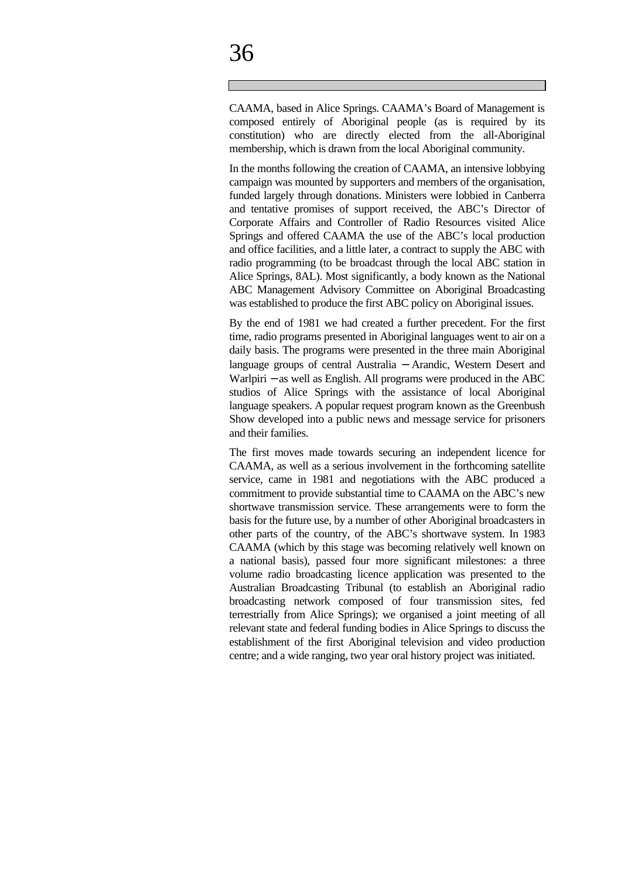CAAMA, based in Alice Springs. CAAMA's Board of Management is composed entirely of Aboriginal people (as is required by its constitution) who are directly elected from the all-Aboriginal membership, which is drawn from the local Aboriginal community.

In the months following the creation of CAAMA, an intensive lobbying campaign was mounted by supporters and members of the organisation, funded largely through donations. Ministers were lobbied in Canberra and tentative promises of support received, the ABC's Director of Corporate Affairs and Controller of Radio Resources visited Alice Springs and offered CAAMA the use of the ABC's local production and office facilities, and a little later, a contract to supply the ABC with radio programming (to be broadcast through the local ABC station in Alice Springs, 8AL). Most significantly, a body known as the National ABC Management Advisory Committee on Aboriginal Broadcasting was established to produce the first ABC policy on Aboriginal issues.

By the end of 1981 we had created a further precedent. For the first time, radio programs presented in Aboriginal languages went to air on a daily basis. The programs were presented in the three main Aboriginal language groups of central Australia − Arandic, Western Desert and Warlpiri − as well as English. All programs were produced in the ABC studios of Alice Springs with the assistance of local Aboriginal language speakers. A popular request program known as the Greenbush Show developed into a public news and message service for prisoners and their families.

The first moves made towards securing an independent licence for CAAMA, as well as a serious involvement in the forthcoming satellite service, came in 1981 and negotiations with the ABC produced a commitment to provide substantial time to CAAMA on the ABC's new shortwave transmission service. These arrangements were to form the basis for the future use, by a number of other Aboriginal broadcasters in other parts of the country, of the ABC's shortwave system. In 1983 CAAMA (which by this stage was becoming relatively well known on a national basis), passed four more significant milestones: a three volume radio broadcasting licence application was presented to the Australian Broadcasting Tribunal (to establish an Aboriginal radio broadcasting network composed of four transmission sites, fed terrestrially from Alice Springs); we organised a joint meeting of all relevant state and federal funding bodies in Alice Springs to discuss the establishment of the first Aboriginal television and video production centre; and a wide ranging, two year oral history project was initiated.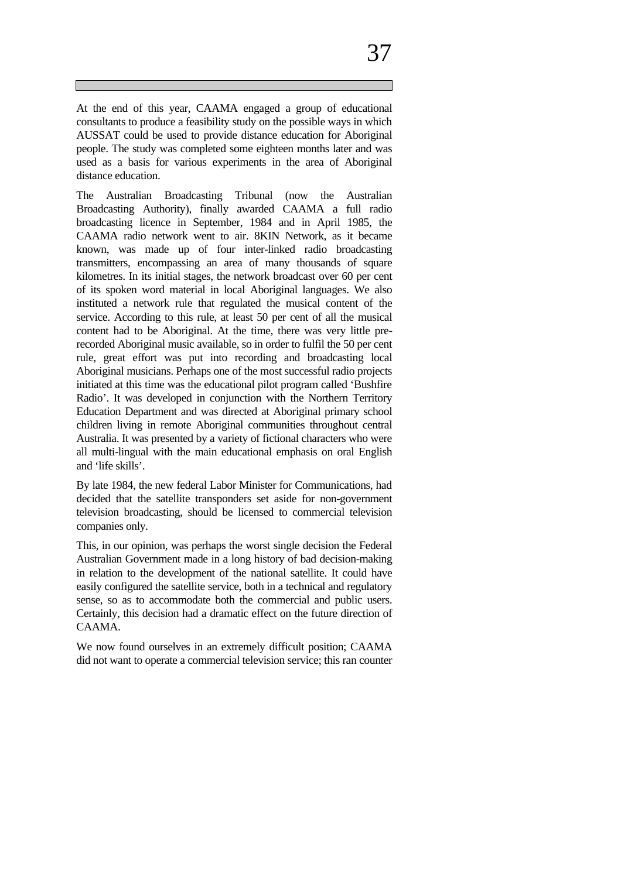At the end of this year, CAAMA engaged a group of educational consultants to produce a feasibility study on the possible ways in which AUSSAT could be used to provide distance education for Aboriginal people. The study was completed some eighteen months later and was used as a basis for various experiments in the area of Aboriginal distance education.

The Australian Broadcasting Tribunal (now the Australian Broadcasting Authority), finally awarded CAAMA a full radio broadcasting licence in September, 1984 and in April 1985, the CAAMA radio network went to air. 8KIN Network, as it became known, was made up of four inter-linked radio broadcasting transmitters, encompassing an area of many thousands of square kilometres. In its initial stages, the network broadcast over 60 per cent of its spoken word material in local Aboriginal languages. We also instituted a network rule that regulated the musical content of the service. According to this rule, at least 50 per cent of all the musical content had to be Aboriginal. At the time, there was very little prerecorded Aboriginal music available, so in order to fulfil the 50 per cent rule, great effort was put into recording and broadcasting local Aboriginal musicians. Perhaps one of the most successful radio projects initiated at this time was the educational pilot program called 'Bushfire Radio'. It was developed in conjunction with the Northern Territory Education Department and was directed at Aboriginal primary school children living in remote Aboriginal communities throughout central Australia. It was presented by a variety of fictional characters who were all multi-lingual with the main educational emphasis on oral English and 'life skills'.

By late 1984, the new federal Labor Minister for Communications, had decided that the satellite transponders set aside for non-government television broadcasting, should be licensed to commercial television companies only.

This, in our opinion, was perhaps the worst single decision the Federal Australian Government made in a long history of bad decision-making in relation to the development of the national satellite. It could have easily configured the satellite service, both in a technical and regulatory sense, so as to accommodate both the commercial and public users. Certainly, this decision had a dramatic effect on the future direction of CAAMA.

We now found ourselves in an extremely difficult position; CAAMA did not want to operate a commercial television service; this ran counter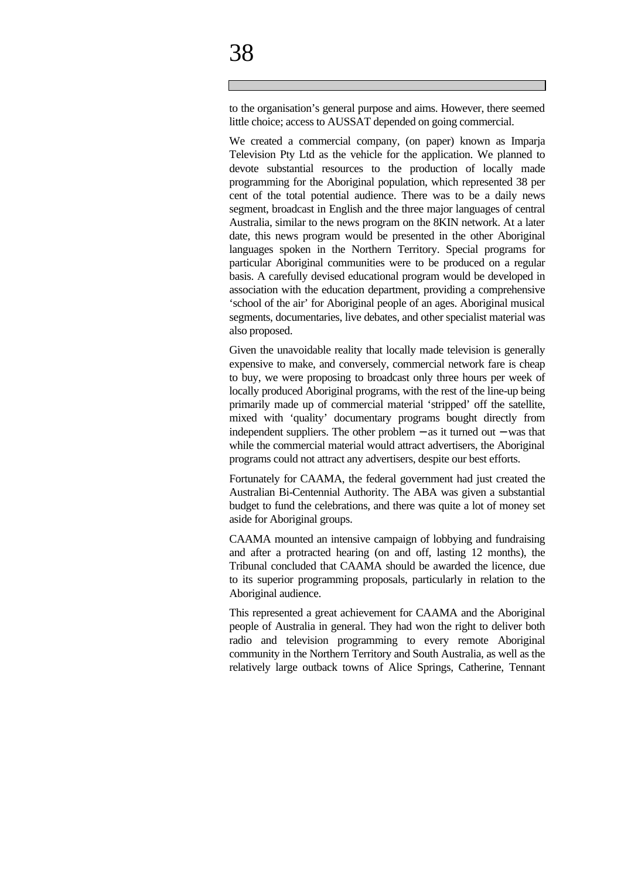to the organisation's general purpose and aims. However, there seemed little choice; access to AUSSAT depended on going commercial.

We created a commercial company, (on paper) known as Imparja Television Pty Ltd as the vehicle for the application. We planned to devote substantial resources to the production of locally made programming for the Aboriginal population, which represented 38 per cent of the total potential audience. There was to be a daily news segment, broadcast in English and the three major languages of central Australia, similar to the news program on the 8KIN network. At a later date, this news program would be presented in the other Aboriginal languages spoken in the Northern Territory. Special programs for particular Aboriginal communities were to be produced on a regular basis. A carefully devised educational program would be developed in association with the education department, providing a comprehensive 'school of the air' for Aboriginal people of an ages. Aboriginal musical segments, documentaries, live debates, and other specialist material was also proposed.

Given the unavoidable reality that locally made television is generally expensive to make, and conversely, commercial network fare is cheap to buy, we were proposing to broadcast only three hours per week of locally produced Aboriginal programs, with the rest of the line-up being primarily made up of commercial material 'stripped' off the satellite, mixed with 'quality' documentary programs bought directly from independent suppliers. The other problem − as it turned out − was that while the commercial material would attract advertisers, the Aboriginal programs could not attract any advertisers, despite our best efforts.

Fortunately for CAAMA, the federal government had just created the Australian Bi-Centennial Authority. The ABA was given a substantial budget to fund the celebrations, and there was quite a lot of money set aside for Aboriginal groups.

CAAMA mounted an intensive campaign of lobbying and fundraising and after a protracted hearing (on and off, lasting 12 months), the Tribunal concluded that CAAMA should be awarded the licence, due to its superior programming proposals, particularly in relation to the Aboriginal audience.

This represented a great achievement for CAAMA and the Aboriginal people of Australia in general. They had won the right to deliver both radio and television programming to every remote Aboriginal community in the Northern Territory and South Australia, as well as the relatively large outback towns of Alice Springs, Catherine, Tennant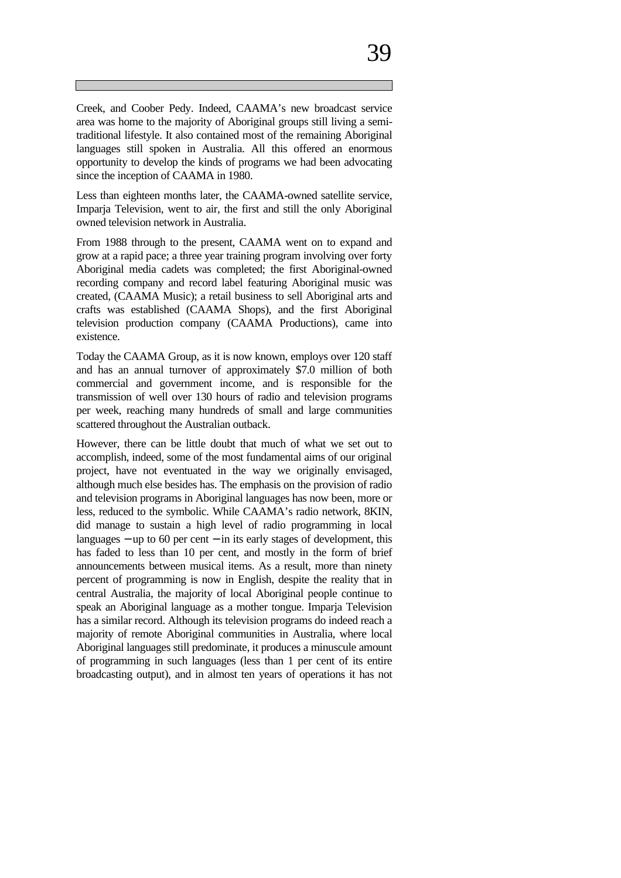Creek, and Coober Pedy. Indeed, CAAMA's new broadcast service area was home to the majority of Aboriginal groups still living a semitraditional lifestyle. It also contained most of the remaining Aboriginal languages still spoken in Australia. All this offered an enormous opportunity to develop the kinds of programs we had been advocating since the inception of CAAMA in 1980.

Less than eighteen months later, the CAAMA-owned satellite service, Imparja Television, went to air, the first and still the only Aboriginal owned television network in Australia.

From 1988 through to the present, CAAMA went on to expand and grow at a rapid pace; a three year training program involving over forty Aboriginal media cadets was completed; the first Aboriginal-owned recording company and record label featuring Aboriginal music was created, (CAAMA Music); a retail business to sell Aboriginal arts and crafts was established (CAAMA Shops), and the first Aboriginal television production company (CAAMA Productions), came into existence.

Today the CAAMA Group, as it is now known, employs over 120 staff and has an annual turnover of approximately \$7.0 million of both commercial and government income, and is responsible for the transmission of well over 130 hours of radio and television programs per week, reaching many hundreds of small and large communities scattered throughout the Australian outback.

However, there can be little doubt that much of what we set out to accomplish, indeed, some of the most fundamental aims of our original project, have not eventuated in the way we originally envisaged, although much else besides has. The emphasis on the provision of radio and television programs in Aboriginal languages has now been, more or less, reduced to the symbolic. While CAAMA's radio network, 8KIN, did manage to sustain a high level of radio programming in local languages − up to 60 per cent − in its early stages of development, this has faded to less than 10 per cent, and mostly in the form of brief announcements between musical items. As a result, more than ninety percent of programming is now in English, despite the reality that in central Australia, the majority of local Aboriginal people continue to speak an Aboriginal language as a mother tongue. Imparja Television has a similar record. Although its television programs do indeed reach a majority of remote Aboriginal communities in Australia, where local Aboriginal languages still predominate, it produces a minuscule amount of programming in such languages (less than 1 per cent of its entire broadcasting output), and in almost ten years of operations it has not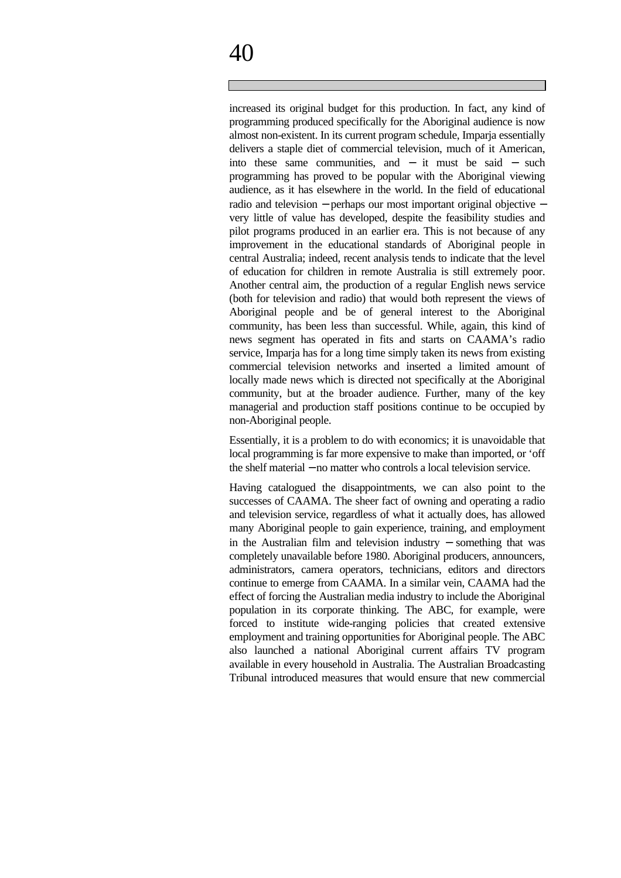# 40

increased its original budget for this production. In fact, any kind of programming produced specifically for the Aboriginal audience is now almost non-existent. In its current program schedule, Imparja essentially delivers a staple diet of commercial television, much of it American, into these same communities, and − it must be said − such programming has proved to be popular with the Aboriginal viewing audience, as it has elsewhere in the world. In the field of educational radio and television − perhaps our most important original objective − very little of value has developed, despite the feasibility studies and pilot programs produced in an earlier era. This is not because of any improvement in the educational standards of Aboriginal people in central Australia; indeed, recent analysis tends to indicate that the level of education for children in remote Australia is still extremely poor. Another central aim, the production of a regular English news service (both for television and radio) that would both represent the views of Aboriginal people and be of general interest to the Aboriginal community, has been less than successful. While, again, this kind of news segment has operated in fits and starts on CAAMA's radio service, Imparja has for a long time simply taken its news from existing commercial television networks and inserted a limited amount of locally made news which is directed not specifically at the Aboriginal community, but at the broader audience. Further, many of the key managerial and production staff positions continue to be occupied by non-Aboriginal people.

Essentially, it is a problem to do with economics; it is unavoidable that local programming is far more expensive to make than imported, or 'off the shelf material − no matter who controls a local television service.

Having catalogued the disappointments, we can also point to the successes of CAAMA. The sheer fact of owning and operating a radio and television service, regardless of what it actually does, has allowed many Aboriginal people to gain experience, training, and employment in the Australian film and television industry − something that was completely unavailable before 1980. Aboriginal producers, announcers, administrators, camera operators, technicians, editors and directors continue to emerge from CAAMA. In a similar vein, CAAMA had the effect of forcing the Australian media industry to include the Aboriginal population in its corporate thinking. The ABC, for example, were forced to institute wide-ranging policies that created extensive employment and training opportunities for Aboriginal people. The ABC also launched a national Aboriginal current affairs TV program available in every household in Australia. The Australian Broadcasting Tribunal introduced measures that would ensure that new commercial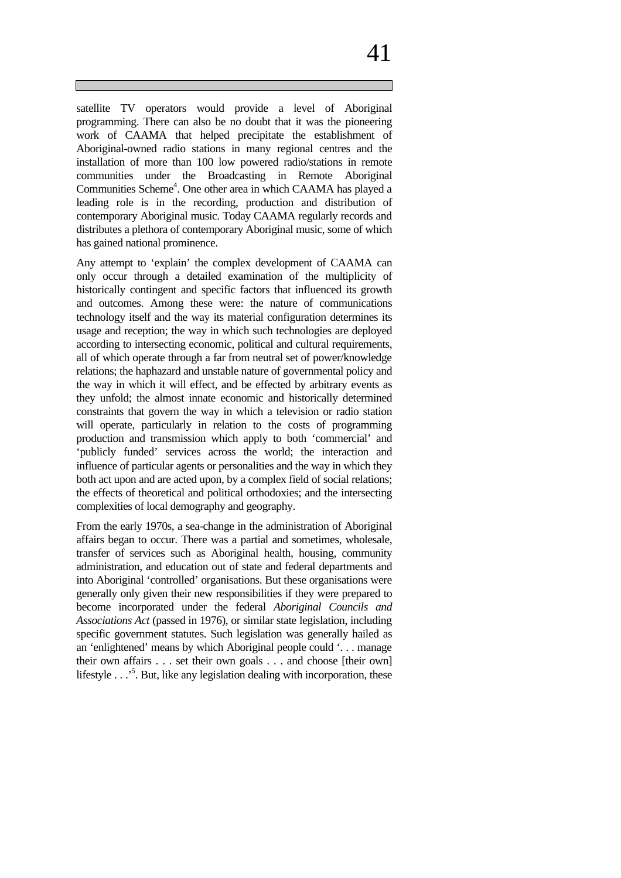satellite TV operators would provide a level of Aboriginal programming. There can also be no doubt that it was the pioneering work of CAAMA that helped precipitate the establishment of Aboriginal-owned radio stations in many regional centres and the installation of more than 100 low powered radio/stations in remote communities under the Broadcasting in Remote Aboriginal Communities Scheme<sup>4</sup>. One other area in which CAAMA has played a leading role is in the recording, production and distribution of contemporary Aboriginal music. Today CAAMA regularly records and distributes a plethora of contemporary Aboriginal music, some of which has gained national prominence.

Any attempt to 'explain' the complex development of CAAMA can only occur through a detailed examination of the multiplicity of historically contingent and specific factors that influenced its growth and outcomes. Among these were: the nature of communications technology itself and the way its material configuration determines its usage and reception; the way in which such technologies are deployed according to intersecting economic, political and cultural requirements, all of which operate through a far from neutral set of power/knowledge relations; the haphazard and unstable nature of governmental policy and the way in which it will effect, and be effected by arbitrary events as they unfold; the almost innate economic and historically determined constraints that govern the way in which a television or radio station will operate, particularly in relation to the costs of programming production and transmission which apply to both 'commercial' and 'publicly funded' services across the world; the interaction and influence of particular agents or personalities and the way in which they both act upon and are acted upon, by a complex field of social relations; the effects of theoretical and political orthodoxies; and the intersecting complexities of local demography and geography.

From the early 1970s, a sea-change in the administration of Aboriginal affairs began to occur. There was a partial and sometimes, wholesale, transfer of services such as Aboriginal health, housing, community administration, and education out of state and federal departments and into Aboriginal 'controlled' organisations. But these organisations were generally only given their new responsibilities if they were prepared to become incorporated under the federal *Aboriginal Councils and Associations Act* (passed in 1976), or similar state legislation, including specific government statutes. Such legislation was generally hailed as an 'enlightened' means by which Aboriginal people could '. . . manage their own affairs . . . set their own goals . . . and choose [their own] lifestyle . . .<sup>5</sup>. But, like any legislation dealing with incorporation, these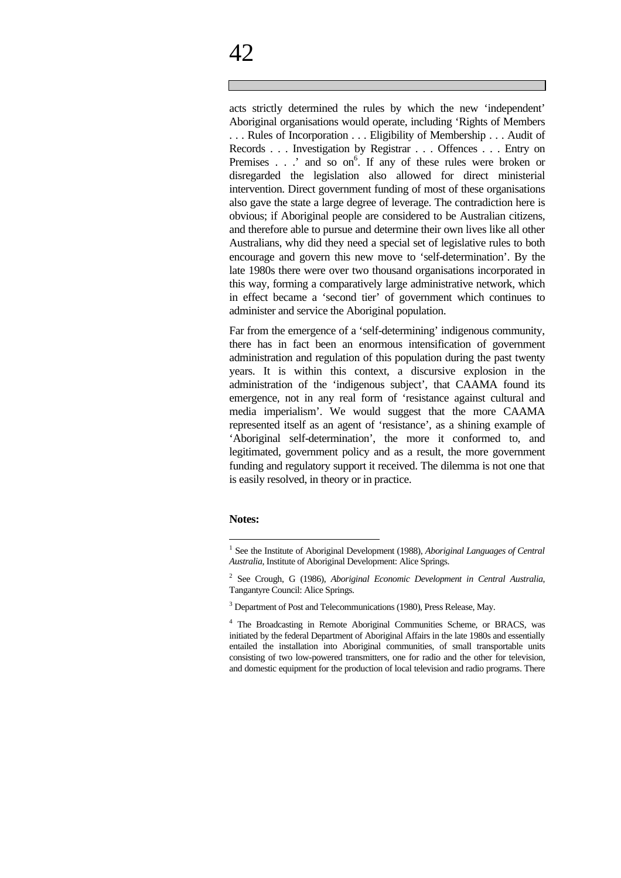acts strictly determined the rules by which the new 'independent' Aboriginal organisations would operate, including 'Rights of Members . . . Rules of Incorporation . . . Eligibility of Membership . . . Audit of Records . . . Investigation by Registrar . . . Offences . . . Entry on Premises . . .' and so on<sup>6</sup>. If any of these rules were broken or disregarded the legislation also allowed for direct ministerial intervention. Direct government funding of most of these organisations also gave the state a large degree of leverage. The contradiction here is obvious; if Aboriginal people are considered to be Australian citizens, and therefore able to pursue and determine their own lives like all other Australians, why did they need a special set of legislative rules to both encourage and govern this new move to 'self-determination'. By the late 1980s there were over two thousand organisations incorporated in this way, forming a comparatively large administrative network, which in effect became a 'second tier' of government which continues to administer and service the Aboriginal population.

Far from the emergence of a 'self-determining' indigenous community, there has in fact been an enormous intensification of government administration and regulation of this population during the past twenty years. It is within this context, a discursive explosion in the administration of the 'indigenous subject', that CAAMA found its emergence, not in any real form of 'resistance against cultural and media imperialism'. We would suggest that the more CAAMA represented itself as an agent of 'resistance', as a shining example of 'Aboriginal self-determination', the more it conformed to, and legitimated, government policy and as a result, the more government funding and regulatory support it received. The dilemma is not one that is easily resolved, in theory or in practice.

#### **Notes:**

 $\overline{a}$ 

<sup>&</sup>lt;sup>1</sup> See the Institute of Aboriginal Development (1988), *Aboriginal Languages of Central Australia*, Institute of Aboriginal Development: Alice Springs.

<sup>2</sup> See Crough, G (1986), *Aboriginal Economic Development in Central Australia*, Tangantyre Council: Alice Springs.

<sup>&</sup>lt;sup>3</sup> Department of Post and Telecommunications (1980), Press Release, May.

<sup>&</sup>lt;sup>4</sup> The Broadcasting in Remote Aboriginal Communities Scheme, or BRACS, was initiated by the federal Department of Aboriginal Affairs in the late 1980s and essentially entailed the installation into Aboriginal communities, of small transportable units consisting of two low-powered transmitters, one for radio and the other for television, and domestic equipment for the production of local television and radio programs. There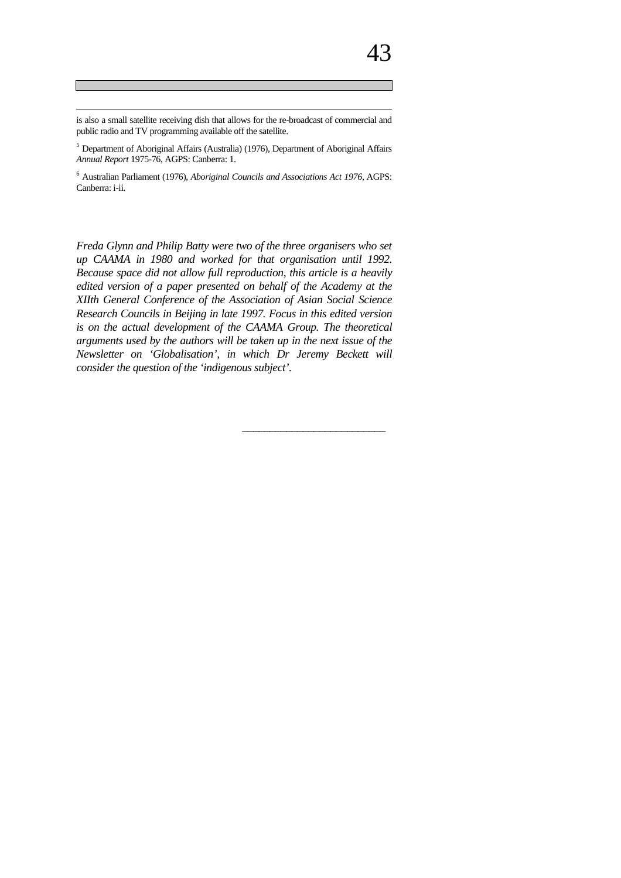is also a small satellite receiving dish that allows for the re-broadcast of commercial and public radio and TV programming available off the satellite.

 $\overline{a}$ 

<sup>5</sup> Department of Aboriginal Affairs (Australia) (1976), Department of Aboriginal Affairs *Annual Report* 1975-76, AGPS: Canberra: 1.

<sup>6</sup> Australian Parliament (1976), *Aboriginal Councils and Associations Act 1976*, AGPS: Canberra: i-ii.

*Freda Glynn and Philip Batty were two of the three organisers who set up CAAMA in 1980 and worked for that organisation until 1992. Because space did not allow full reproduction, this article is a heavily edited version of a paper presented on behalf of the Academy at the XIIth General Conference of the Association of Asian Social Science Research Councils in Beijing in late 1997. Focus in this edited version is on the actual development of the CAAMA Group. The theoretical arguments used by the authors will be taken up in the next issue of the Newsletter on 'Globalisation', in which Dr Jeremy Beckett will consider the question of the 'indigenous subject'.*

\_\_\_\_\_\_\_\_\_\_\_\_\_\_\_\_\_\_\_\_\_\_\_\_\_\_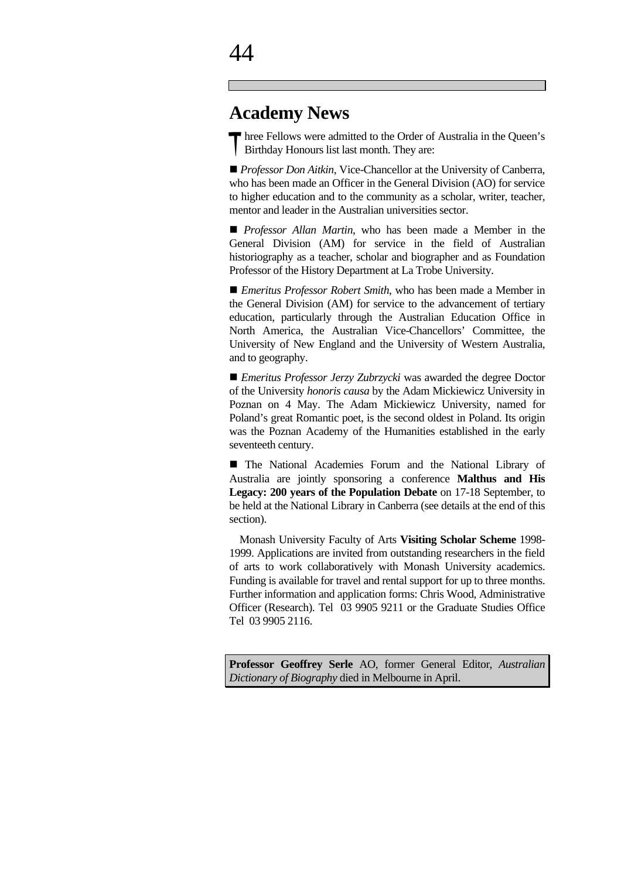### $\varDelta\varDelta$

### **Academy News**

Three Fellows were admitted to the Order of Australia in the Queen's Birthday Honours list last month. They are: Birthday Honours list last month. They are:

■ *Professor Don Aitkin*, Vice-Chancellor at the University of Canberra, who has been made an Officer in the General Division (AO) for service to higher education and to the community as a scholar, writer, teacher, mentor and leader in the Australian universities sector.

**n** *Professor Allan Martin*, who has been made a Member in the General Division (AM) for service in the field of Australian historiography as a teacher, scholar and biographer and as Foundation Professor of the History Department at La Trobe University.

■ *Emeritus Professor Robert Smith*, who has been made a Member in the General Division (AM) for service to the advancement of tertiary education, particularly through the Australian Education Office in North America, the Australian Vice-Chancellors' Committee, the University of New England and the University of Western Australia, and to geography.

■ *Emeritus Professor Jerzy Zubrzycki* was awarded the degree Doctor of the University *honoris causa* by the Adam Mickiewicz University in Poznan on 4 May. The Adam Mickiewicz University, named for Poland's great Romantic poet, is the second oldest in Poland. Its origin was the Poznan Academy of the Humanities established in the early seventeeth century.

n The National Academies Forum and the National Library of Australia are jointly sponsoring a conference **Malthus and His Legacy: 200 years of the Population Debate** on 17-18 September, to be held at the National Library in Canberra (see details at the end of this section).

 Monash University Faculty of Arts **Visiting Scholar Scheme** 1998- 1999. Applications are invited from outstanding researchers in the field of arts to work collaboratively with Monash University academics. Funding is available for travel and rental support for up to three months. Further information and application forms: Chris Wood, Administrative Officer (Research). Tel 03 9905 9211 or the Graduate Studies Office Tel 03 9905 2116.

**Professor Geoffrey Serle** AO, former General Editor, *Australian Dictionary of Biography* died in Melbourne in April.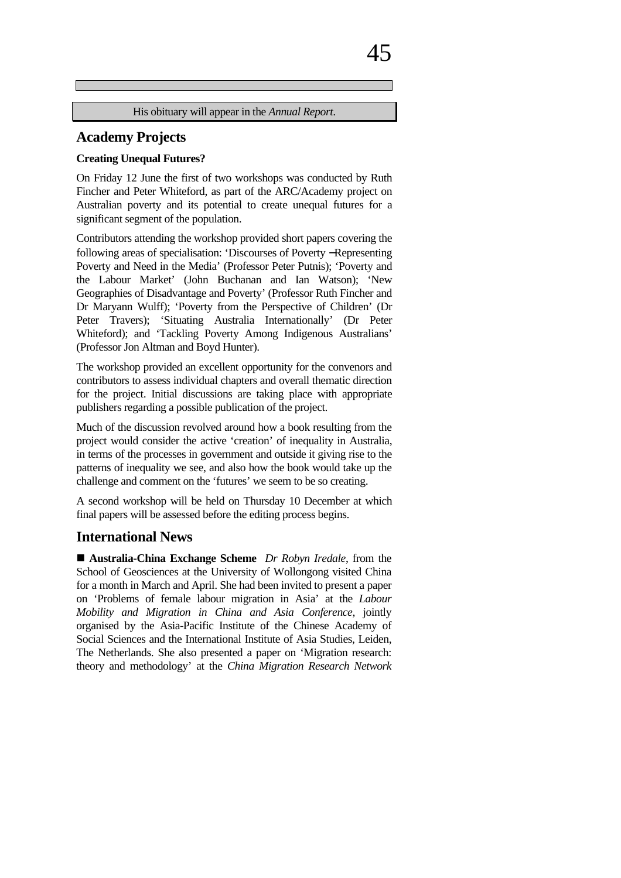|  |  | —⊢<br>╭ |
|--|--|---------|
|  |  |         |

His obituary will appear in the *Annual Report*.

#### **Academy Projects**

#### **Creating Unequal Futures?**

On Friday 12 June the first of two workshops was conducted by Ruth Fincher and Peter Whiteford, as part of the ARC/Academy project on Australian poverty and its potential to create unequal futures for a significant segment of the population.

Contributors attending the workshop provided short papers covering the following areas of specialisation: 'Discourses of Poverty −Representing Poverty and Need in the Media' (Professor Peter Putnis); 'Poverty and the Labour Market' (John Buchanan and Ian Watson); 'New Geographies of Disadvantage and Poverty' (Professor Ruth Fincher and Dr Maryann Wulff); 'Poverty from the Perspective of Children' (Dr Peter Travers); 'Situating Australia Internationally' (Dr Peter Whiteford); and 'Tackling Poverty Among Indigenous Australians' (Professor Jon Altman and Boyd Hunter).

The workshop provided an excellent opportunity for the convenors and contributors to assess individual chapters and overall thematic direction for the project. Initial discussions are taking place with appropriate publishers regarding a possible publication of the project.

Much of the discussion revolved around how a book resulting from the project would consider the active 'creation' of inequality in Australia, in terms of the processes in government and outside it giving rise to the patterns of inequality we see, and also how the book would take up the challenge and comment on the 'futures' we seem to be so creating.

A second workshop will be held on Thursday 10 December at which final papers will be assessed before the editing process begins.

#### **International News**

■ Australia-China Exchange Scheme *Dr Robyn Iredale*, from the School of Geosciences at the University of Wollongong visited China for a month in March and April. She had been invited to present a paper on 'Problems of female labour migration in Asia' at the *Labour Mobility and Migration in China and Asia Conference*, jointly organised by the Asia-Pacific Institute of the Chinese Academy of Social Sciences and the International Institute of Asia Studies, Leiden, The Netherlands. She also presented a paper on 'Migration research: theory and methodology' at the *China Migration Research Network*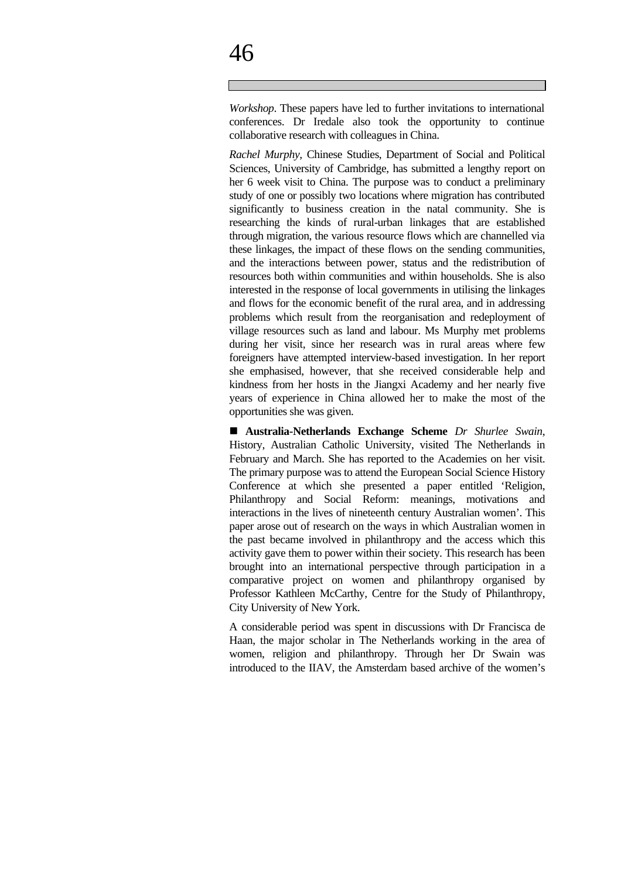*Workshop*. These papers have led to further invitations to international conferences. Dr Iredale also took the opportunity to continue collaborative research with colleagues in China.

*Rachel Murphy,* Chinese Studies, Department of Social and Political Sciences, University of Cambridge, has submitted a lengthy report on her 6 week visit to China. The purpose was to conduct a preliminary study of one or possibly two locations where migration has contributed significantly to business creation in the natal community. She is researching the kinds of rural-urban linkages that are established through migration, the various resource flows which are channelled via these linkages, the impact of these flows on the sending communities, and the interactions between power, status and the redistribution of resources both within communities and within households. She is also interested in the response of local governments in utilising the linkages and flows for the economic benefit of the rural area, and in addressing problems which result from the reorganisation and redeployment of village resources such as land and labour. Ms Murphy met problems during her visit, since her research was in rural areas where few foreigners have attempted interview-based investigation. In her report she emphasised, however, that she received considerable help and kindness from her hosts in the Jiangxi Academy and her nearly five years of experience in China allowed her to make the most of the opportunities she was given.

n **Australia-Netherlands Exchange Scheme** *Dr Shurlee Swain*, History, Australian Catholic University, visited The Netherlands in February and March. She has reported to the Academies on her visit. The primary purpose was to attend the European Social Science History Conference at which she presented a paper entitled 'Religion, Philanthropy and Social Reform: meanings, motivations and interactions in the lives of nineteenth century Australian women'. This paper arose out of research on the ways in which Australian women in the past became involved in philanthropy and the access which this activity gave them to power within their society. This research has been brought into an international perspective through participation in a comparative project on women and philanthropy organised by Professor Kathleen McCarthy, Centre for the Study of Philanthropy, City University of New York.

A considerable period was spent in discussions with Dr Francisca de Haan, the major scholar in The Netherlands working in the area of women, religion and philanthropy. Through her Dr Swain was introduced to the IIAV, the Amsterdam based archive of the women's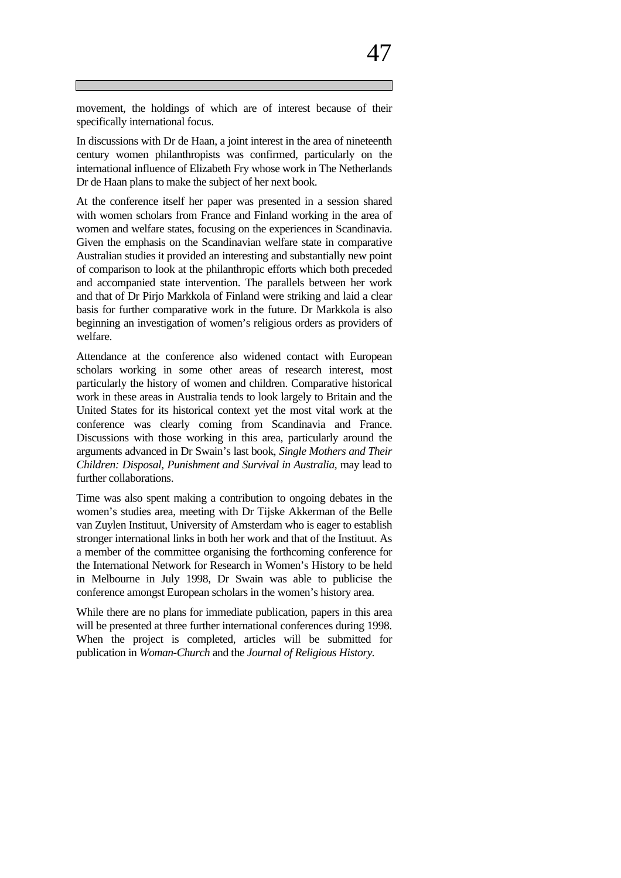movement, the holdings of which are of interest because of their specifically international focus.

In discussions with Dr de Haan, a joint interest in the area of nineteenth century women philanthropists was confirmed, particularly on the international influence of Elizabeth Fry whose work in The Netherlands Dr de Haan plans to make the subject of her next book.

At the conference itself her paper was presented in a session shared with women scholars from France and Finland working in the area of women and welfare states, focusing on the experiences in Scandinavia. Given the emphasis on the Scandinavian welfare state in comparative Australian studies it provided an interesting and substantially new point of comparison to look at the philanthropic efforts which both preceded and accompanied state intervention. The parallels between her work and that of Dr Pirjo Markkola of Finland were striking and laid a clear basis for further comparative work in the future. Dr Markkola is also beginning an investigation of women's religious orders as providers of welfare.

Attendance at the conference also widened contact with European scholars working in some other areas of research interest, most particularly the history of women and children. Comparative historical work in these areas in Australia tends to look largely to Britain and the United States for its historical context yet the most vital work at the conference was clearly coming from Scandinavia and France. Discussions with those working in this area, particularly around the arguments advanced in Dr Swain's last book, *Single Mothers and Their Children: Disposal, Punishment and Survival in Australia, may lead to* further collaborations.

Time was also spent making a contribution to ongoing debates in the women's studies area, meeting with Dr Tijske Akkerman of the Belle van Zuylen Instituut, University of Amsterdam who is eager to establish stronger international links in both her work and that of the Instituut. As a member of the committee organising the forthcoming conference for the International Network for Research in Women's History to be held in Melbourne in July 1998, Dr Swain was able to publicise the conference amongst European scholars in the women's history area.

While there are no plans for immediate publication, papers in this area will be presented at three further international conferences during 1998. When the project is completed, articles will be submitted for publication in *Woman-Church* and the *Journal of Religious History.*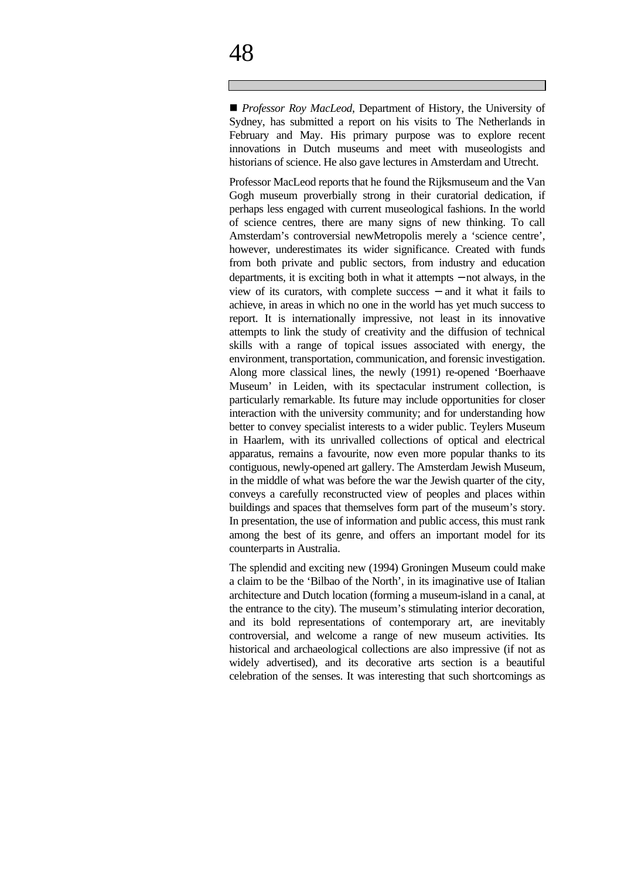■ *Professor Roy MacLeod*, Department of History, the University of Sydney, has submitted a report on his visits to The Netherlands in February and May. His primary purpose was to explore recent innovations in Dutch museums and meet with museologists and historians of science. He also gave lectures in Amsterdam and Utrecht.

Professor MacLeod reports that he found the Rijksmuseum and the Van Gogh museum proverbially strong in their curatorial dedication, if perhaps less engaged with current museological fashions. In the world of science centres, there are many signs of new thinking. To call Amsterdam's controversial newMetropolis merely a 'science centre', however, underestimates its wider significance. Created with funds from both private and public sectors, from industry and education departments, it is exciting both in what it attempts − not always, in the view of its curators, with complete success − and it what it fails to achieve, in areas in which no one in the world has yet much success to report. It is internationally impressive, not least in its innovative attempts to link the study of creativity and the diffusion of technical skills with a range of topical issues associated with energy, the environment, transportation, communication, and forensic investigation. Along more classical lines, the newly (1991) re-opened 'Boerhaave Museum' in Leiden, with its spectacular instrument collection, is particularly remarkable. Its future may include opportunities for closer interaction with the university community; and for understanding how better to convey specialist interests to a wider public. Teylers Museum in Haarlem, with its unrivalled collections of optical and electrical apparatus, remains a favourite, now even more popular thanks to its contiguous, newly-opened art gallery. The Amsterdam Jewish Museum, in the middle of what was before the war the Jewish quarter of the city, conveys a carefully reconstructed view of peoples and places within buildings and spaces that themselves form part of the museum's story. In presentation, the use of information and public access, this must rank among the best of its genre, and offers an important model for its counterparts in Australia.

The splendid and exciting new (1994) Groningen Museum could make a claim to be the 'Bilbao of the North', in its imaginative use of Italian architecture and Dutch location (forming a museum-island in a canal, at the entrance to the city). The museum's stimulating interior decoration, and its bold representations of contemporary art, are inevitably controversial, and welcome a range of new museum activities. Its historical and archaeological collections are also impressive (if not as widely advertised), and its decorative arts section is a beautiful celebration of the senses. It was interesting that such shortcomings as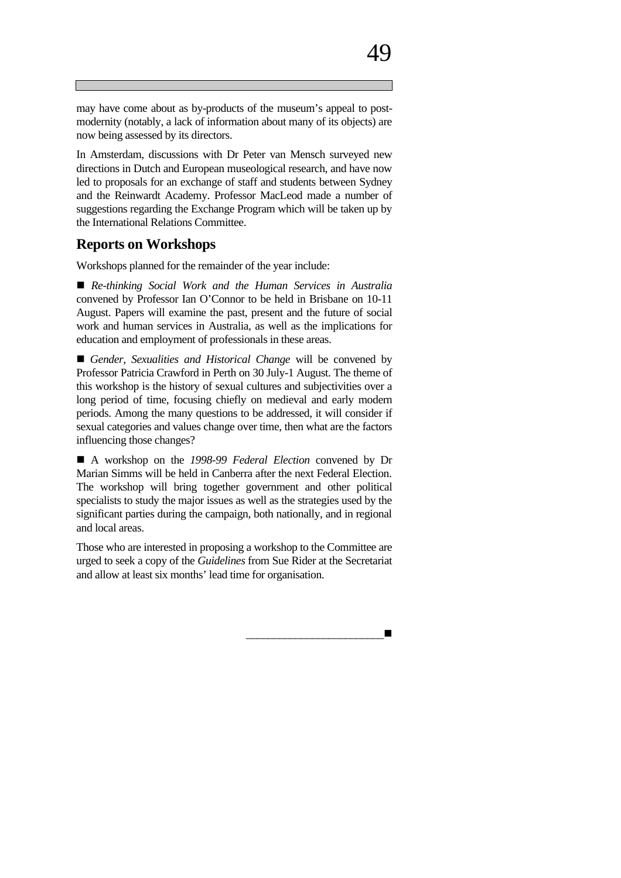may have come about as by-products of the museum's appeal to postmodernity (notably, a lack of information about many of its objects) are now being assessed by its directors.

In Amsterdam, discussions with Dr Peter van Mensch surveyed new directions in Dutch and European museological research, and have now led to proposals for an exchange of staff and students between Sydney and the Reinwardt Academy. Professor MacLeod made a number of suggestions regarding the Exchange Program which will be taken up by the International Relations Committee.

#### **Reports on Workshops**

Workshops planned for the remainder of the year include:

n *Re-thinking Social Work and the Human Services in Australia* convened by Professor Ian O'Connor to be held in Brisbane on 10-11 August. Papers will examine the past, present and the future of social work and human services in Australia, as well as the implications for education and employment of professionals in these areas.

■ *Gender, Sexualities and Historical Change* will be convened by Professor Patricia Crawford in Perth on 30 July-1 August. The theme of this workshop is the history of sexual cultures and subjectivities over a long period of time, focusing chiefly on medieval and early modern periods. Among the many questions to be addressed, it will consider if sexual categories and values change over time, then what are the factors influencing those changes?

n A workshop on the *1998-99 Federal Election* convened by Dr Marian Simms will be held in Canberra after the next Federal Election. The workshop will bring together government and other political specialists to study the major issues as well as the strategies used by the significant parties during the campaign, both nationally, and in regional and local areas.

Those who are interested in proposing a workshop to the Committee are urged to seek a copy of the *Guidelines* from Sue Rider at the Secretariat and allow at least six months' lead time for organisation.

\_\_\_\_\_\_\_\_\_\_\_\_\_\_\_\_\_\_\_\_\_\_\_\_\_n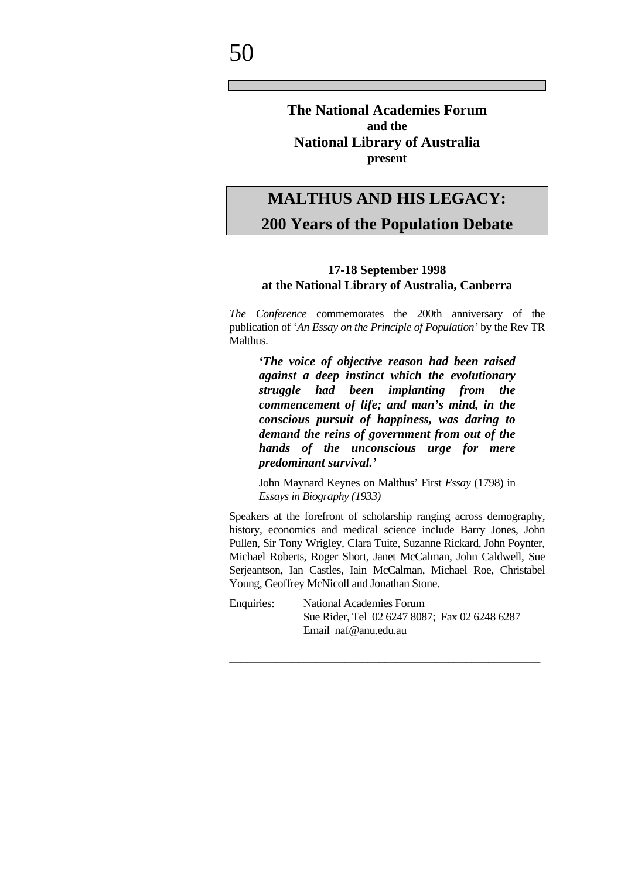#### **The National Academies Forum and the National Library of Australia present**

### **MALTHUS AND HIS LEGACY: 200 Years of the Population Debate**

#### **17-18 September 1998 at the National Library of Australia, Canberra**

*The Conference* commemorates the 200th anniversary of the publication of '*An Essay on the Principle of Population'* by the Rev TR Malthus.

*'The voice of objective reason had been raised against a deep instinct which the evolutionary struggle had been implanting from the commencement of life; and man's mind, in the conscious pursuit of happiness, was daring to demand the reins of government from out of the hands of the unconscious urge for mere predominant survival.'*

John Maynard Keynes on Malthus' First *Essay* (1798) in *Essays in Biography (1933)*

Speakers at the forefront of scholarship ranging across demography, history, economics and medical science include Barry Jones, John Pullen, Sir Tony Wrigley, Clara Tuite, Suzanne Rickard, John Poynter, Michael Roberts, Roger Short, Janet McCalman, John Caldwell, Sue Serjeantson, Ian Castles, Iain McCalman, Michael Roe, Christabel Young, Geoffrey McNicoll and Jonathan Stone.

Enquiries: National Academies Forum Sue Rider, Tel 02 6247 8087; Fax 02 6248 6287 Email naf@anu.edu.au

**\_\_\_\_\_\_\_\_\_\_\_\_\_\_\_\_\_\_\_\_\_\_\_\_\_\_\_\_\_\_\_\_\_\_\_\_\_\_\_\_\_\_\_\_\_\_\_\_\_\_\_\_\_\_**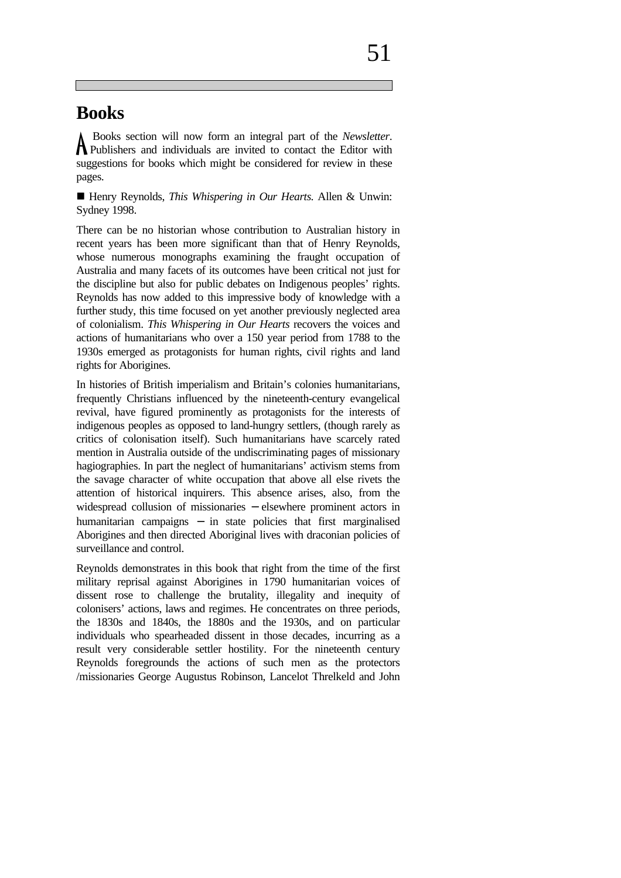### **Books**

 Books section will now form an integral part of the *Newsletter*. A Books section will now form an integral part of the *Newsletter*.<br>
Publishers and individuals are invited to contact the Editor with suggestions for books which might be considered for review in these pages.

■ Henry Reynolds, *This Whispering in Our Hearts*. Allen & Unwin: Sydney 1998.

There can be no historian whose contribution to Australian history in recent years has been more significant than that of Henry Reynolds, whose numerous monographs examining the fraught occupation of Australia and many facets of its outcomes have been critical not just for the discipline but also for public debates on Indigenous peoples' rights. Reynolds has now added to this impressive body of knowledge with a further study, this time focused on yet another previously neglected area of colonialism. *This Whispering in Our Hearts* recovers the voices and actions of humanitarians who over a 150 year period from 1788 to the 1930s emerged as protagonists for human rights, civil rights and land rights for Aborigines.

In histories of British imperialism and Britain's colonies humanitarians, frequently Christians influenced by the nineteenth-century evangelical revival, have figured prominently as protagonists for the interests of indigenous peoples as opposed to land-hungry settlers, (though rarely as critics of colonisation itself). Such humanitarians have scarcely rated mention in Australia outside of the undiscriminating pages of missionary hagiographies. In part the neglect of humanitarians' activism stems from the savage character of white occupation that above all else rivets the attention of historical inquirers. This absence arises, also, from the widespread collusion of missionaries − elsewhere prominent actors in humanitarian campaigns − in state policies that first marginalised Aborigines and then directed Aboriginal lives with draconian policies of surveillance and control.

Reynolds demonstrates in this book that right from the time of the first military reprisal against Aborigines in 1790 humanitarian voices of dissent rose to challenge the brutality, illegality and inequity of colonisers' actions, laws and regimes. He concentrates on three periods, the 1830s and 1840s, the 1880s and the 1930s, and on particular individuals who spearheaded dissent in those decades, incurring as a result very considerable settler hostility. For the nineteenth century Reynolds foregrounds the actions of such men as the protectors /missionaries George Augustus Robinson, Lancelot Threlkeld and John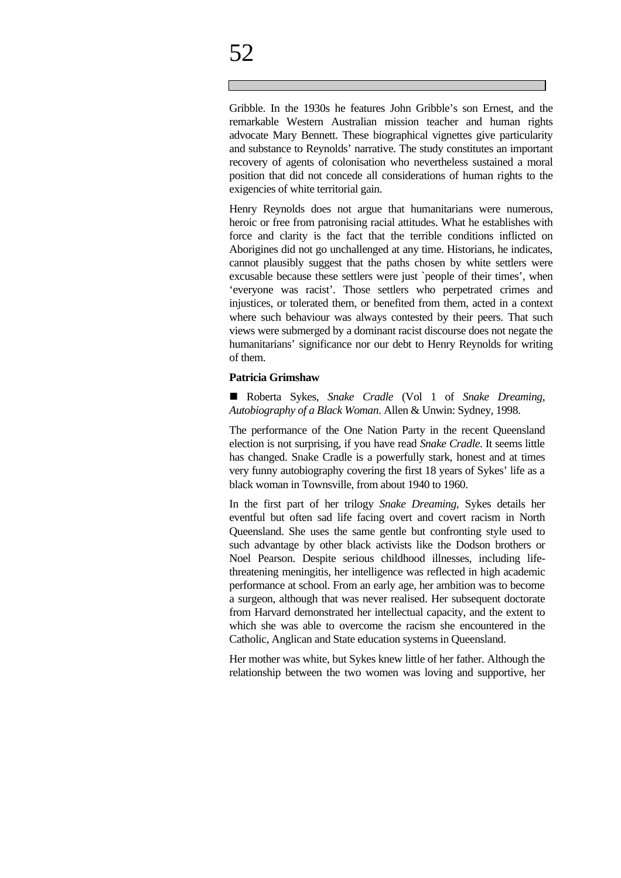Gribble. In the 1930s he features John Gribble's son Ernest, and the remarkable Western Australian mission teacher and human rights advocate Mary Bennett. These biographical vignettes give particularity and substance to Reynolds' narrative. The study constitutes an important recovery of agents of colonisation who nevertheless sustained a moral position that did not concede all considerations of human rights to the exigencies of white territorial gain.

Henry Reynolds does not argue that humanitarians were numerous, heroic or free from patronising racial attitudes. What he establishes with force and clarity is the fact that the terrible conditions inflicted on Aborigines did not go unchallenged at any time. Historians, he indicates, cannot plausibly suggest that the paths chosen by white settlers were excusable because these settlers were just `people of their times', when 'everyone was racist'. Those settlers who perpetrated crimes and injustices, or tolerated them, or benefited from them, acted in a context where such behaviour was always contested by their peers. That such views were submerged by a dominant racist discourse does not negate the humanitarians' significance nor our debt to Henry Reynolds for writing of them.

#### **Patricia Grimshaw**

n Roberta Sykes, *Snake Cradle* (Vol 1 of *Snake Dreaming, Autobiography of a Black Woman*. Allen & Unwin: Sydney, 1998.

The performance of the One Nation Party in the recent Queensland election is not surprising, if you have read *Snake Cradle*. It seems little has changed. Snake Cradle is a powerfully stark, honest and at times very funny autobiography covering the first 18 years of Sykes' life as a black woman in Townsville, from about 1940 to 1960.

In the first part of her trilogy *Snake Dreaming,* Sykes details her eventful but often sad life facing overt and covert racism in North Queensland. She uses the same gentle but confronting style used to such advantage by other black activists like the Dodson brothers or Noel Pearson. Despite serious childhood illnesses, including lifethreatening meningitis, her intelligence was reflected in high academic performance at school. From an early age, her ambition was to become a surgeon, although that was never realised. Her subsequent doctorate from Harvard demonstrated her intellectual capacity, and the extent to which she was able to overcome the racism she encountered in the Catholic, Anglican and State education systems in Queensland.

Her mother was white, but Sykes knew little of her father. Although the relationship between the two women was loving and supportive, her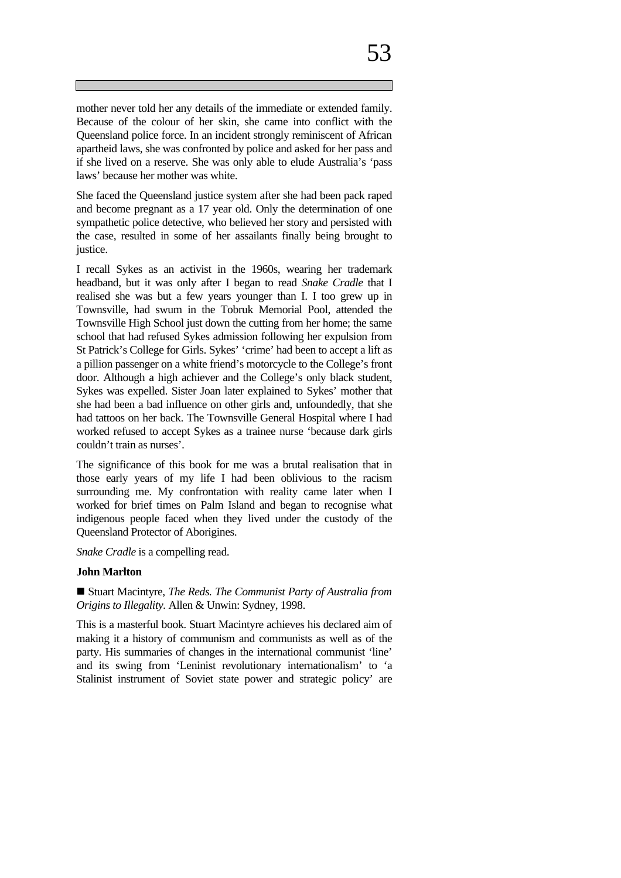if she lived on a reserve. She was only able to elude Australia's 'pass laws' because her mother was white. She faced the Queensland justice system after she had been pack raped and become pregnant as a 17 year old. Only the determination of one sympathetic police detective, who believed her story and persisted with

the case, resulted in some of her assailants finally being brought to

I recall Sykes as an activist in the 1960s, wearing her trademark headband, but it was only after I began to read *Snake Cradle* that I realised she was but a few years younger than I. I too grew up in Townsville, had swum in the Tobruk Memorial Pool, attended the Townsville High School just down the cutting from her home; the same school that had refused Sykes admission following her expulsion from St Patrick's College for Girls. Sykes' 'crime' had been to accept a lift as a pillion passenger on a white friend's motorcycle to the College's front door. Although a high achiever and the College's only black student, Sykes was expelled. Sister Joan later explained to Sykes' mother that she had been a bad influence on other girls and, unfoundedly, that she had tattoos on her back. The Townsville General Hospital where I had worked refused to accept Sykes as a trainee nurse 'because dark girls couldn't train as nurses'.

The significance of this book for me was a brutal realisation that in those early years of my life I had been oblivious to the racism surrounding me. My confrontation with reality came later when I worked for brief times on Palm Island and began to recognise what indigenous people faced when they lived under the custody of the Queensland Protector of Aborigines.

*Snake Cradle* is a compelling read.

#### **John Marlton**

justice.

■ Stuart Macintyre, *The Reds. The Communist Party of Australia from Origins to Illegality.* Allen & Unwin: Sydney, 1998.

This is a masterful book. Stuart Macintyre achieves his declared aim of making it a history of communism and communists as well as of the party. His summaries of changes in the international communist 'line' and its swing from 'Leninist revolutionary internationalism' to 'a Stalinist instrument of Soviet state power and strategic policy' are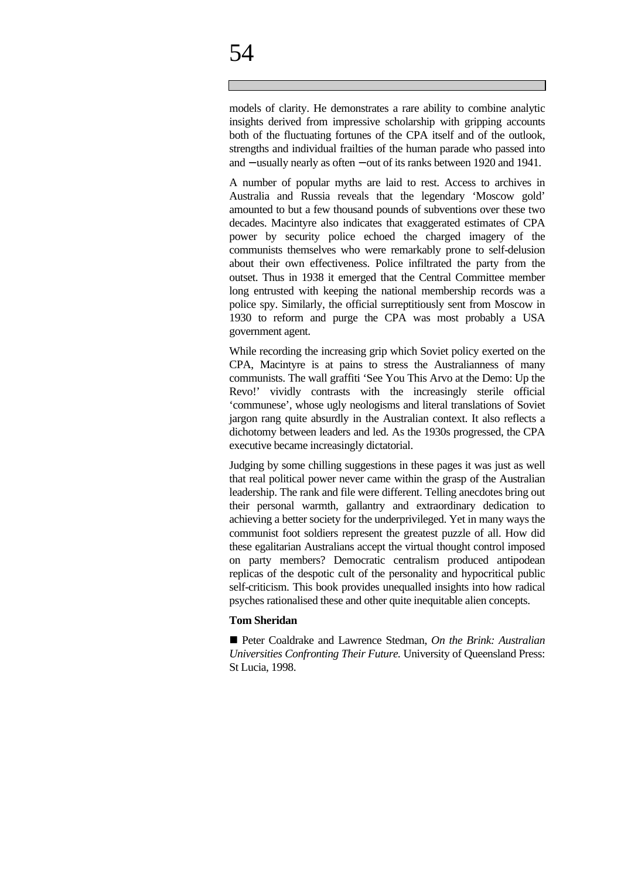# 54

models of clarity. He demonstrates a rare ability to combine analytic insights derived from impressive scholarship with gripping accounts both of the fluctuating fortunes of the CPA itself and of the outlook, strengths and individual frailties of the human parade who passed into and − usually nearly as often − out of its ranks between 1920 and 1941.

A number of popular myths are laid to rest. Access to archives in Australia and Russia reveals that the legendary 'Moscow gold' amounted to but a few thousand pounds of subventions over these two decades. Macintyre also indicates that exaggerated estimates of CPA power by security police echoed the charged imagery of the communists themselves who were remarkably prone to self-delusion about their own effectiveness. Police infiltrated the party from the outset. Thus in 1938 it emerged that the Central Committee member long entrusted with keeping the national membership records was a police spy. Similarly, the official surreptitiously sent from Moscow in 1930 to reform and purge the CPA was most probably a USA government agent.

While recording the increasing grip which Soviet policy exerted on the CPA, Macintyre is at pains to stress the Australianness of many communists. The wall graffiti 'See You This Arvo at the Demo: Up the Revo!' vividly contrasts with the increasingly sterile official 'communese', whose ugly neologisms and literal translations of Soviet jargon rang quite absurdly in the Australian context. It also reflects a dichotomy between leaders and led. As the 1930s progressed, the CPA executive became increasingly dictatorial.

Judging by some chilling suggestions in these pages it was just as well that real political power never came within the grasp of the Australian leadership. The rank and file were different. Telling anecdotes bring out their personal warmth, gallantry and extraordinary dedication to achieving a better society for the underprivileged. Yet in many ways the communist foot soldiers represent the greatest puzzle of all. How did these egalitarian Australians accept the virtual thought control imposed on party members? Democratic centralism produced antipodean replicas of the despotic cult of the personality and hypocritical public self-criticism. This book provides unequalled insights into how radical psyches rationalised these and other quite inequitable alien concepts.

#### **Tom Sheridan**

■ Peter Coaldrake and Lawrence Stedman, *On the Brink: Australian Universities Confronting Their Future.* University of Queensland Press: St Lucia, 1998.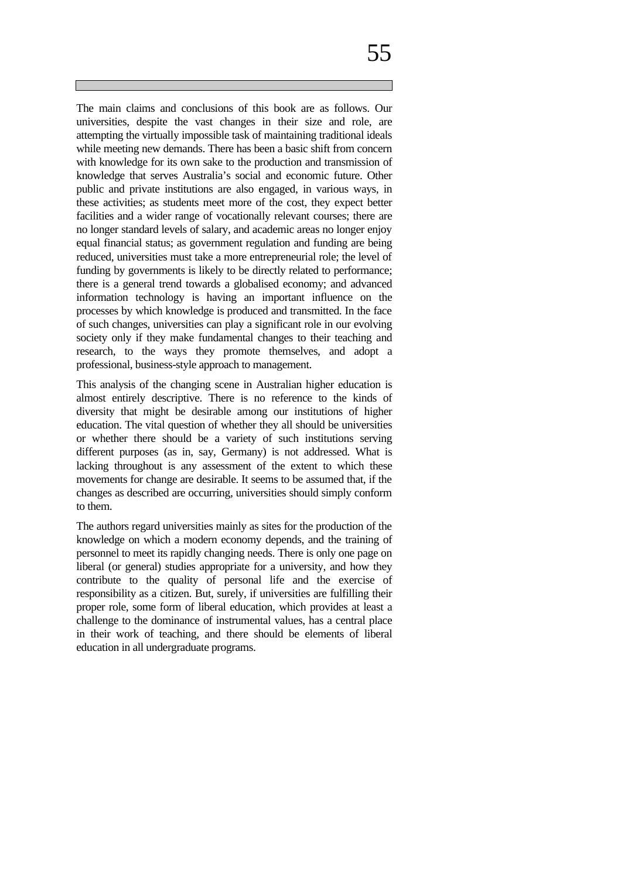The main claims and conclusions of this book are as follows. Our universities, despite the vast changes in their size and role, are attempting the virtually impossible task of maintaining traditional ideals while meeting new demands. There has been a basic shift from concern with knowledge for its own sake to the production and transmission of knowledge that serves Australia's social and economic future. Other public and private institutions are also engaged, in various ways, in

these activities; as students meet more of the cost, they expect better facilities and a wider range of vocationally relevant courses; there are no longer standard levels of salary, and academic areas no longer enjoy equal financial status; as government regulation and funding are being reduced, universities must take a more entrepreneurial role; the level of funding by governments is likely to be directly related to performance; there is a general trend towards a globalised economy; and advanced information technology is having an important influence on the processes by which knowledge is produced and transmitted. In the face of such changes, universities can play a significant role in our evolving society only if they make fundamental changes to their teaching and research, to the ways they promote themselves, and adopt a professional, business-style approach to management.

This analysis of the changing scene in Australian higher education is almost entirely descriptive. There is no reference to the kinds of diversity that might be desirable among our institutions of higher education. The vital question of whether they all should be universities or whether there should be a variety of such institutions serving different purposes (as in, say, Germany) is not addressed. What is lacking throughout is any assessment of the extent to which these movements for change are desirable. It seems to be assumed that, if the changes as described are occurring, universities should simply conform to them.

The authors regard universities mainly as sites for the production of the knowledge on which a modern economy depends, and the training of personnel to meet its rapidly changing needs. There is only one page on liberal (or general) studies appropriate for a university, and how they contribute to the quality of personal life and the exercise of responsibility as a citizen. But, surely, if universities are fulfilling their proper role, some form of liberal education, which provides at least a challenge to the dominance of instrumental values, has a central place in their work of teaching, and there should be elements of liberal education in all undergraduate programs.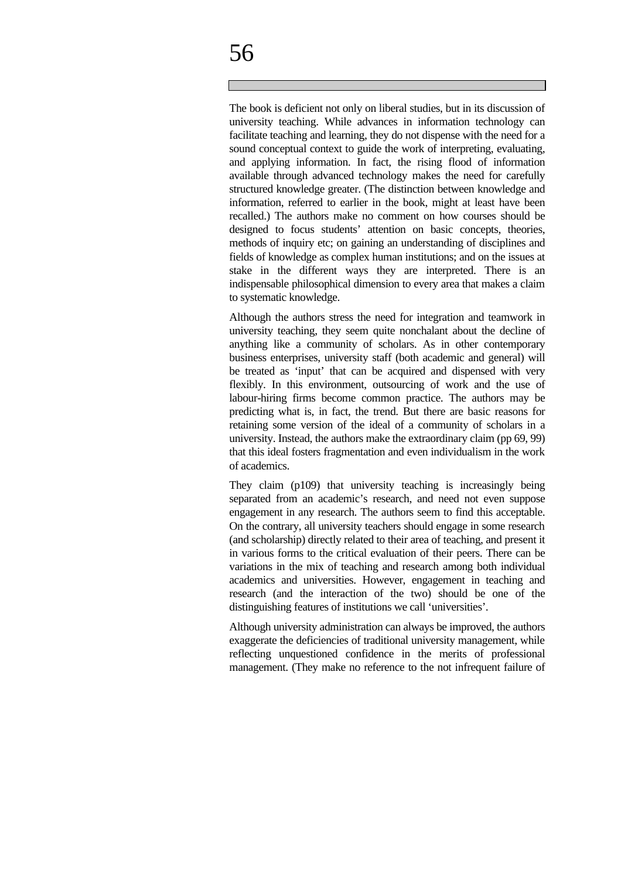# 56

The book is deficient not only on liberal studies, but in its discussion of university teaching. While advances in information technology can facilitate teaching and learning, they do not dispense with the need for a sound conceptual context to guide the work of interpreting, evaluating, and applying information. In fact, the rising flood of information available through advanced technology makes the need for carefully structured knowledge greater. (The distinction between knowledge and information, referred to earlier in the book, might at least have been recalled.) The authors make no comment on how courses should be designed to focus students' attention on basic concepts, theories, methods of inquiry etc; on gaining an understanding of disciplines and fields of knowledge as complex human institutions; and on the issues at stake in the different ways they are interpreted. There is an indispensable philosophical dimension to every area that makes a claim to systematic knowledge.

Although the authors stress the need for integration and teamwork in university teaching, they seem quite nonchalant about the decline of anything like a community of scholars. As in other contemporary business enterprises, university staff (both academic and general) will be treated as 'input' that can be acquired and dispensed with very flexibly. In this environment, outsourcing of work and the use of labour-hiring firms become common practice. The authors may be predicting what is, in fact, the trend. But there are basic reasons for retaining some version of the ideal of a community of scholars in a university. Instead, the authors make the extraordinary claim (pp 69, 99) that this ideal fosters fragmentation and even individualism in the work of academics.

They claim (p109) that university teaching is increasingly being separated from an academic's research, and need not even suppose engagement in any research. The authors seem to find this acceptable. On the contrary, all university teachers should engage in some research (and scholarship) directly related to their area of teaching, and present it in various forms to the critical evaluation of their peers. There can be variations in the mix of teaching and research among both individual academics and universities. However, engagement in teaching and research (and the interaction of the two) should be one of the distinguishing features of institutions we call 'universities'.

Although university administration can always be improved, the authors exaggerate the deficiencies of traditional university management, while reflecting unquestioned confidence in the merits of professional management. (They make no reference to the not infrequent failure of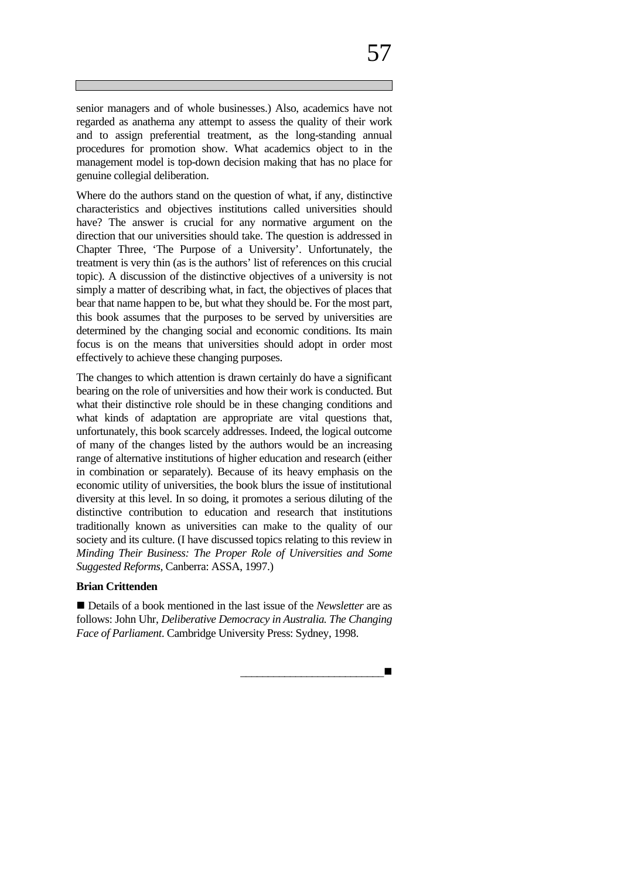senior managers and of whole businesses.) Also, academics have not regarded as anathema any attempt to assess the quality of their work and to assign preferential treatment, as the long-standing annual procedures for promotion show. What academics object to in the management model is top-down decision making that has no place for genuine collegial deliberation.

Where do the authors stand on the question of what, if any, distinctive characteristics and objectives institutions called universities should have? The answer is crucial for any normative argument on the direction that our universities should take. The question is addressed in Chapter Three, 'The Purpose of a University'. Unfortunately, the treatment is very thin (as is the authors' list of references on this crucial topic). A discussion of the distinctive objectives of a university is not simply a matter of describing what, in fact, the objectives of places that bear that name happen to be, but what they should be. For the most part, this book assumes that the purposes to be served by universities are determined by the changing social and economic conditions. Its main focus is on the means that universities should adopt in order most effectively to achieve these changing purposes.

The changes to which attention is drawn certainly do have a significant bearing on the role of universities and how their work is conducted. But what their distinctive role should be in these changing conditions and what kinds of adaptation are appropriate are vital questions that, unfortunately, this book scarcely addresses. Indeed, the logical outcome of many of the changes listed by the authors would be an increasing range of alternative institutions of higher education and research (either in combination or separately). Because of its heavy emphasis on the economic utility of universities, the book blurs the issue of institutional diversity at this level. In so doing, it promotes a serious diluting of the distinctive contribution to education and research that institutions traditionally known as universities can make to the quality of our society and its culture. (I have discussed topics relating to this review in *Minding Their Business: The Proper Role of Universities and Some Suggested Reforms,* Canberra: ASSA, 1997.)

#### **Brian Crittenden**

■ Details of a book mentioned in the last issue of the *Newsletter* are as follows: John Uhr, *Deliberative Democracy in Australia. The Changing Face of Parliament*. Cambridge University Press: Sydney, 1998.

*\_\_\_\_\_\_\_\_\_\_\_\_\_\_\_\_\_\_\_\_\_\_\_\_\_\_*n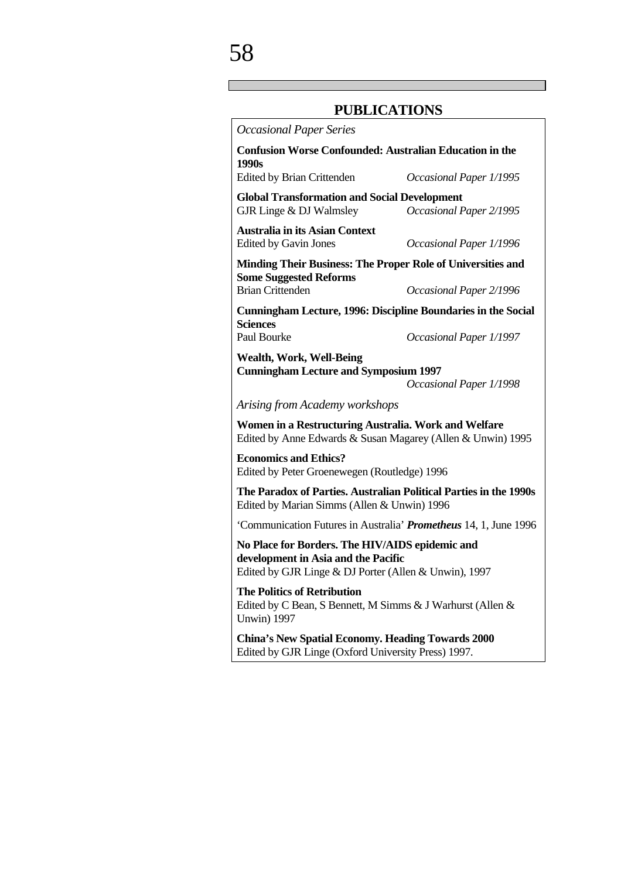#### **PUBLICATIONS**

*Occasional Paper Series* **Confusion Worse Confounded: Australian Education in the 1990s** Edited by Brian Crittenden *Occasional Paper 1/1995* **Global Transformation and Social Development** GJR Linge & DJ Walmsley *Occasional Paper 2/1995* **Australia in its Asian Context** Edited by Gavin Jones *Occasional Paper 1/1996* **Minding Their Business: The Proper Role of Universities and Some Suggested Reforms** Brian Crittenden *Occasional Paper 2/1996* **Cunningham Lecture, 1996: Discipline Boundaries in the Social Sciences** Paul Bourke *Occasional Paper 1/1997* **Wealth, Work, Well-Being Cunningham Lecture and Symposium 1997** *Occasional Paper 1/1998 Arising from Academy workshops* **Women in a Restructuring Australia. Work and Welfare** Edited by Anne Edwards & Susan Magarey (Allen & Unwin) 1995 **Economics and Ethics?** Edited by Peter Groenewegen (Routledge) 1996 **The Paradox of Parties. Australian Political Parties in the 1990s** Edited by Marian Simms (Allen & Unwin) 1996 'Communication Futures in Australia' *Prometheus* 14, 1, June 1996 **No Place for Borders. The HIV/AIDS epidemic and development in Asia and the Pacific** Edited by GJR Linge & DJ Porter (Allen & Unwin), 1997 **The Politics of Retribution** Edited by C Bean, S Bennett, M Simms & J Warhurst (Allen & Unwin) 1997 **China's New Spatial Economy. Heading Towards 2000** Edited by GJR Linge (Oxford University Press) 1997.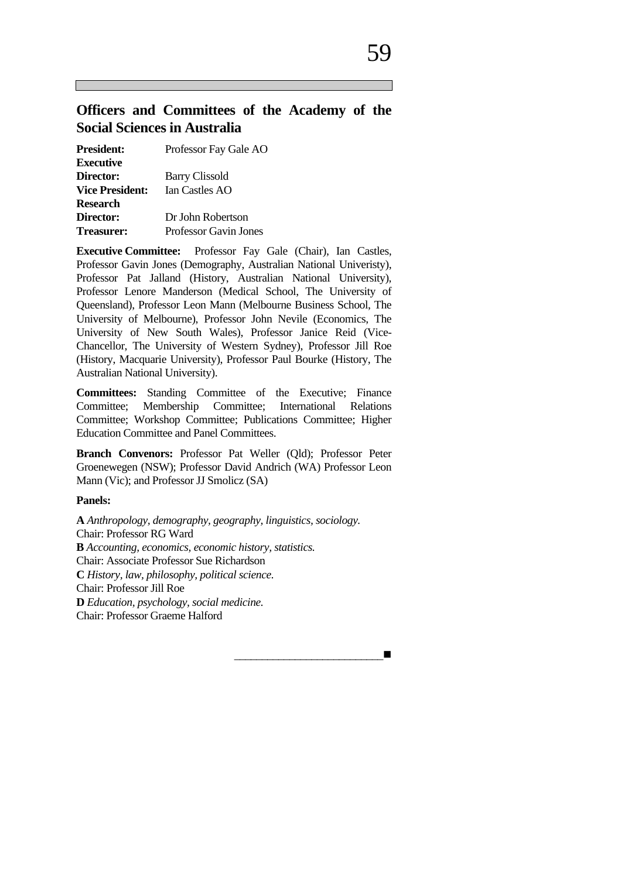#### **Officers and Committees of the Academy of the Social Sciences in Australia**

| <b>President:</b>      | Professor Fay Gale AO |  |  |
|------------------------|-----------------------|--|--|
| Executive              |                       |  |  |
| <b>Director:</b>       | <b>Barry Clissold</b> |  |  |
| <b>Vice President:</b> | Ian Castles AO        |  |  |
| Research               |                       |  |  |
| <b>Director:</b>       | Dr John Robertson     |  |  |
| <b>Treasurer:</b>      | Professor Gavin Jones |  |  |

**Executive Committee:** Professor Fay Gale (Chair), Ian Castles, Professor Gavin Jones (Demography, Australian National Univeristy), Professor Pat Jalland (History, Australian National University), Professor Lenore Manderson (Medical School, The University of Queensland), Professor Leon Mann (Melbourne Business School, The University of Melbourne), Professor John Nevile (Economics, The University of New South Wales), Professor Janice Reid (Vice-Chancellor, The University of Western Sydney), Professor Jill Roe (History, Macquarie University), Professor Paul Bourke (History, The Australian National University).

**Committees:** Standing Committee of the Executive; Finance Committee; Membership Committee; International Relations Committee; Workshop Committee; Publications Committee; Higher Education Committee and Panel Committees.

**Branch Convenors:** Professor Pat Weller (Qld); Professor Peter Groenewegen (NSW); Professor David Andrich (WA) Professor Leon Mann (Vic); and Professor JJ Smolicz (SA)

#### **Panels:**

**A** *Anthropology, demography, geography, linguistics, sociology.* Chair: Professor RG Ward **B** *Accounting, economics, economic history, statistics.* Chair: Associate Professor Sue Richardson **C** *History, law, philosophy, political science.* Chair: Professor Jill Roe **D** *Education, psychology, social medicine.* Chair: Professor Graeme Halford

\_\_\_\_\_\_\_\_\_\_\_\_\_\_\_\_\_\_\_\_\_\_\_\_\_\_\_n